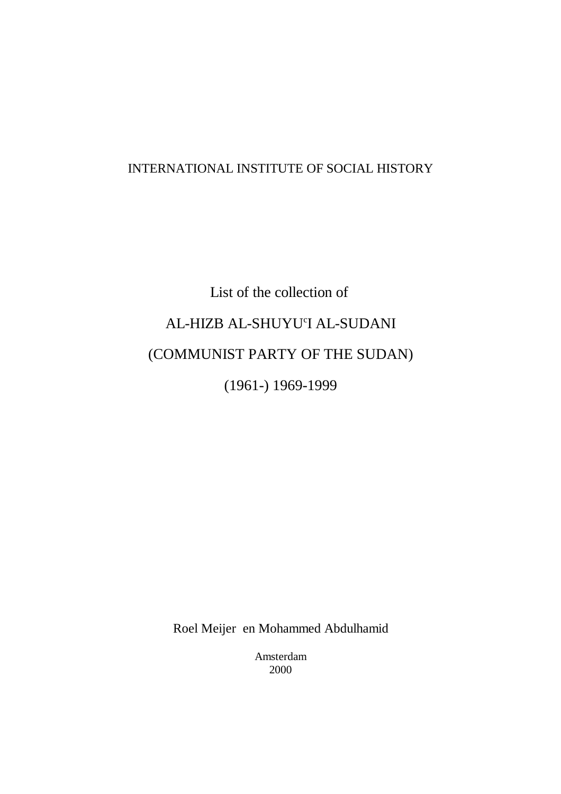# INTERNATIONAL INSTITUTE OF SOCIAL HISTORY

# List of the collection of AL-HIZB AL-SHUYU'I AL-SUDANI (COMMUNIST PARTY OF THE SUDAN) (1961-) 1969-1999

Roel Meijer en Mohammed Abdulhamid

Amsterdam 2000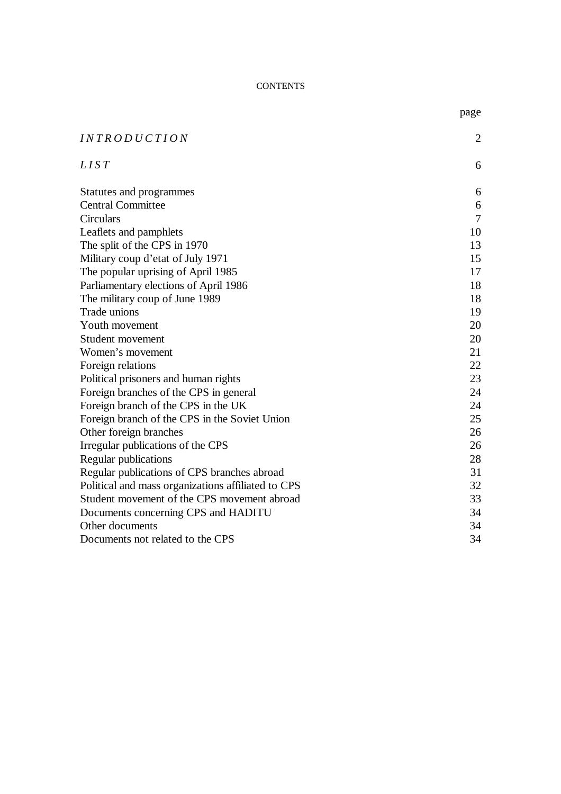#### CONTENTS

| <i>INTRODUCTION</i>                                | $\overline{2}$ |
|----------------------------------------------------|----------------|
| LIST                                               | 6              |
| Statutes and programmes                            | 6              |
| <b>Central Committee</b>                           | 6              |
| Circulars                                          | 7              |
| Leaflets and pamphlets                             | 10             |
| The split of the CPS in 1970                       | 13             |
| Military coup d'etat of July 1971                  | 15             |
| The popular uprising of April 1985                 | 17             |
| Parliamentary elections of April 1986              | 18             |
| The military coup of June 1989                     | 18             |
| Trade unions                                       | 19             |
| Youth movement                                     | 20             |
| Student movement                                   | 20             |
| Women's movement                                   | 21             |
| Foreign relations                                  | 22             |
| Political prisoners and human rights               | 23             |
| Foreign branches of the CPS in general             | 24             |
| Foreign branch of the CPS in the UK                | 24             |
| Foreign branch of the CPS in the Soviet Union      | 25             |
| Other foreign branches                             | 26             |
| Irregular publications of the CPS                  | 26             |
| Regular publications                               | 28             |
| Regular publications of CPS branches abroad        | 31             |
| Political and mass organizations affiliated to CPS | 32             |
| Student movement of the CPS movement abroad        | 33             |
| Documents concerning CPS and HADITU                | 34             |
| Other documents                                    | 34             |
| Documents not related to the CPS                   | 34             |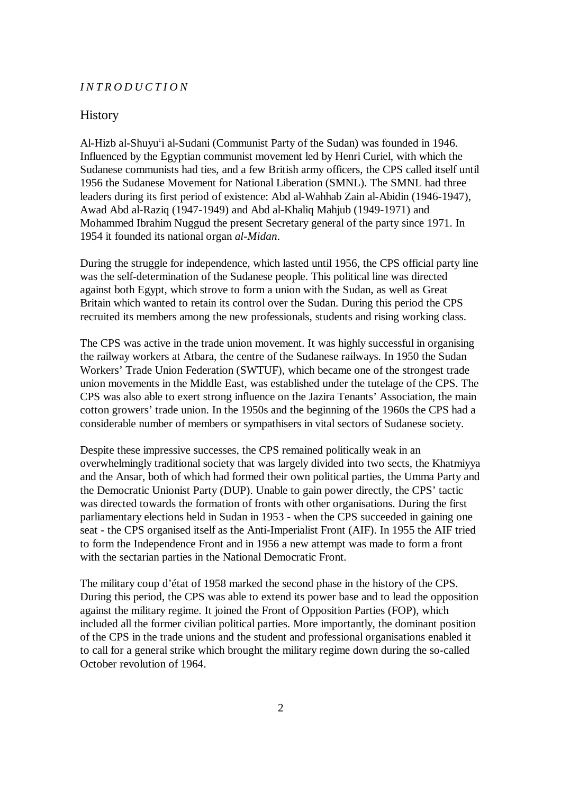#### *INTRODUCTION*

#### **History**

Al-Hizb al-Shuyu<sup>c</sup>i al-Sudani (Communist Party of the Sudan) was founded in 1946. Influenced by the Egyptian communist movement led by Henri Curiel, with which the Sudanese communists had ties, and a few British army officers, the CPS called itself until 1956 the Sudanese Movement for National Liberation (SMNL). The SMNL had three leaders during its first period of existence: Abd al-Wahhab Zain al-Abidin (1946-1947), Awad Abd al-Raziq (1947-1949) and Abd al-Khaliq Mahjub (1949-1971) and Mohammed Ibrahim Nuggud the present Secretary general of the party since 1971. In 1954 it founded its national organ *al-Midan*.

During the struggle for independence, which lasted until 1956, the CPS official party line was the self-determination of the Sudanese people. This political line was directed against both Egypt, which strove to form a union with the Sudan, as well as Great Britain which wanted to retain its control over the Sudan. During this period the CPS recruited its members among the new professionals, students and rising working class.

The CPS was active in the trade union movement. It was highly successful in organising the railway workers at Atbara, the centre of the Sudanese railways. In 1950 the Sudan Workers' Trade Union Federation (SWTUF), which became one of the strongest trade union movements in the Middle East, was established under the tutelage of the CPS. The CPS was also able to exert strong influence on the Jazira Tenants' Association, the main cotton growers' trade union. In the 1950s and the beginning of the 1960s the CPS had a considerable number of members or sympathisers in vital sectors of Sudanese society.

Despite these impressive successes, the CPS remained politically weak in an overwhelmingly traditional society that was largely divided into two sects, the Khatmiyya and the Ansar, both of which had formed their own political parties, the Umma Party and the Democratic Unionist Party (DUP). Unable to gain power directly, the CPS' tactic was directed towards the formation of fronts with other organisations. During the first parliamentary elections held in Sudan in 1953 - when the CPS succeeded in gaining one seat - the CPS organised itself as the Anti-Imperialist Front (AIF). In 1955 the AIF tried to form the Independence Front and in 1956 a new attempt was made to form a front with the sectarian parties in the National Democratic Front.

The military coup d'état of 1958 marked the second phase in the history of the CPS. During this period, the CPS was able to extend its power base and to lead the opposition against the military regime. It joined the Front of Opposition Parties (FOP), which included all the former civilian political parties. More importantly, the dominant position of the CPS in the trade unions and the student and professional organisations enabled it to call for a general strike which brought the military regime down during the so-called October revolution of 1964.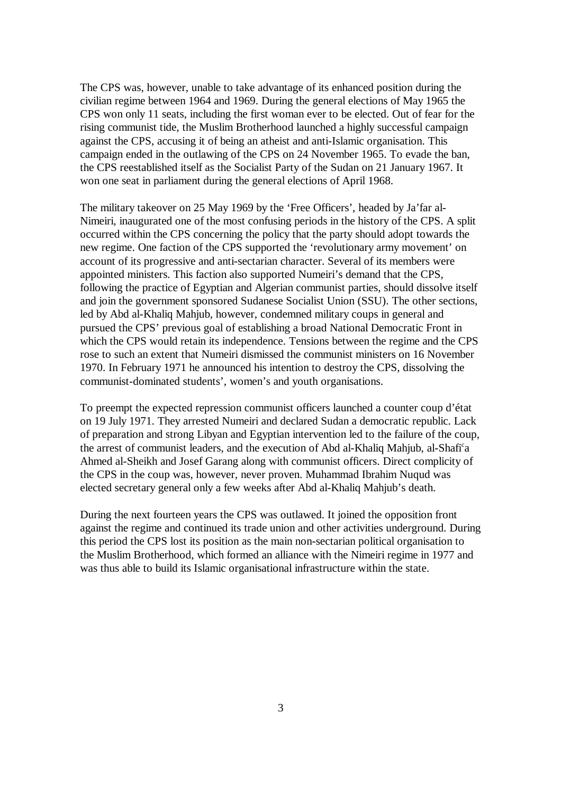The CPS was, however, unable to take advantage of its enhanced position during the civilian regime between 1964 and 1969. During the general elections of May 1965 the CPS won only 11 seats, including the first woman ever to be elected. Out of fear for the rising communist tide, the Muslim Brotherhood launched a highly successful campaign against the CPS, accusing it of being an atheist and anti-Islamic organisation. This campaign ended in the outlawing of the CPS on 24 November 1965. To evade the ban, the CPS reestablished itself as the Socialist Party of the Sudan on 21 January 1967. It won one seat in parliament during the general elections of April 1968.

The military takeover on 25 May 1969 by the 'Free Officers', headed by Ja'far al-Nimeiri, inaugurated one of the most confusing periods in the history of the CPS. A split occurred within the CPS concerning the policy that the party should adopt towards the new regime. One faction of the CPS supported the 'revolutionary army movement' on account of its progressive and anti-sectarian character. Several of its members were appointed ministers. This faction also supported Numeiri's demand that the CPS, following the practice of Egyptian and Algerian communist parties, should dissolve itself and join the government sponsored Sudanese Socialist Union (SSU). The other sections, led by Abd al-Khaliq Mahjub, however, condemned military coups in general and pursued the CPS' previous goal of establishing a broad National Democratic Front in which the CPS would retain its independence. Tensions between the regime and the CPS rose to such an extent that Numeiri dismissed the communist ministers on 16 November 1970. In February 1971 he announced his intention to destroy the CPS, dissolving the communist-dominated students', women's and youth organisations.

To preempt the expected repression communist officers launched a counter coup d'état on 19 July 1971. They arrested Numeiri and declared Sudan a democratic republic. Lack of preparation and strong Libyan and Egyptian intervention led to the failure of the coup, the arrest of communist leaders, and the execution of Abd al-Khaliq Mahjub, al-Shafi<sup>c</sup>a Ahmed al-Sheikh and Josef Garang along with communist officers. Direct complicity of the CPS in the coup was, however, never proven. Muhammad Ibrahim Nuqud was elected secretary general only a few weeks after Abd al-Khaliq Mahjub's death.

During the next fourteen years the CPS was outlawed. It joined the opposition front against the regime and continued its trade union and other activities underground. During this period the CPS lost its position as the main non-sectarian political organisation to the Muslim Brotherhood, which formed an alliance with the Nimeiri regime in 1977 and was thus able to build its Islamic organisational infrastructure within the state.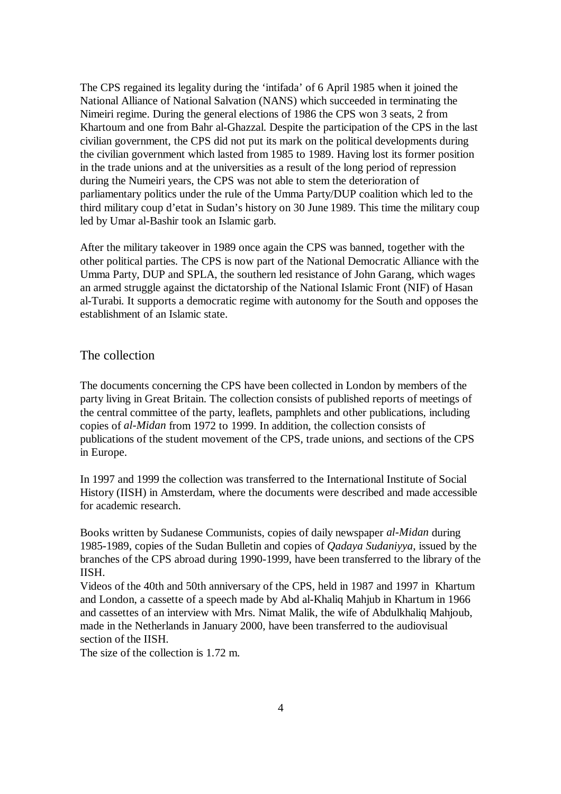The CPS regained its legality during the 'intifada' of 6 April 1985 when it joined the National Alliance of National Salvation (NANS) which succeeded in terminating the Nimeiri regime. During the general elections of 1986 the CPS won 3 seats, 2 from Khartoum and one from Bahr al-Ghazzal. Despite the participation of the CPS in the last civilian government, the CPS did not put its mark on the political developments during the civilian government which lasted from 1985 to 1989. Having lost its former position in the trade unions and at the universities as a result of the long period of repression during the Numeiri years, the CPS was not able to stem the deterioration of parliamentary politics under the rule of the Umma Party/DUP coalition which led to the third military coup d'etat in Sudan's history on 30 June 1989. This time the military coup led by Umar al-Bashir took an Islamic garb.

After the military takeover in 1989 once again the CPS was banned, together with the other political parties. The CPS is now part of the National Democratic Alliance with the Umma Party, DUP and SPLA, the southern led resistance of John Garang, which wages an armed struggle against the dictatorship of the National Islamic Front (NIF) of Hasan al-Turabi. It supports a democratic regime with autonomy for the South and opposes the establishment of an Islamic state.

### The collection

The documents concerning the CPS have been collected in London by members of the party living in Great Britain. The collection consists of published reports of meetings of the central committee of the party, leaflets, pamphlets and other publications, including copies of *al-Midan* from 1972 to 1999. In addition, the collection consists of publications of the student movement of the CPS, trade unions, and sections of the CPS in Europe.

In 1997 and 1999 the collection was transferred to the International Institute of Social History (IISH) in Amsterdam, where the documents were described and made accessible for academic research.

Books written by Sudanese Communists, copies of daily newspaper *al-Midan* during 1985-1989, copies of the Sudan Bulletin and copies of *Qadaya Sudaniyya*, issued by the branches of the CPS abroad during 1990-1999, have been transferred to the library of the IISH.

Videos of the 40th and 50th anniversary of the CPS, held in 1987 and 1997 in Khartum and London, a cassette of a speech made by Abd al-Khaliq Mahjub in Khartum in 1966 and cassettes of an interview with Mrs. Nimat Malik, the wife of Abdulkhaliq Mahjoub, made in the Netherlands in January 2000, have been transferred to the audiovisual section of the IISH.

The size of the collection is 1.72 m.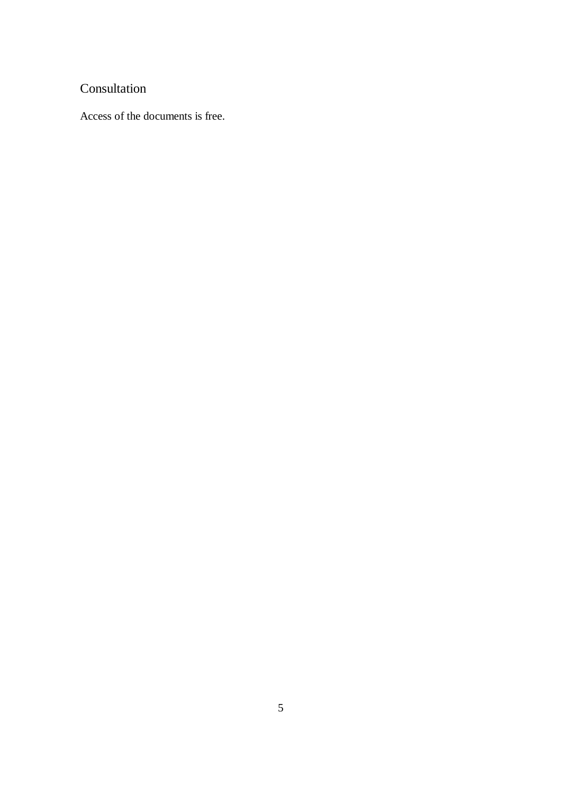# Consultation

Access of the documents is free.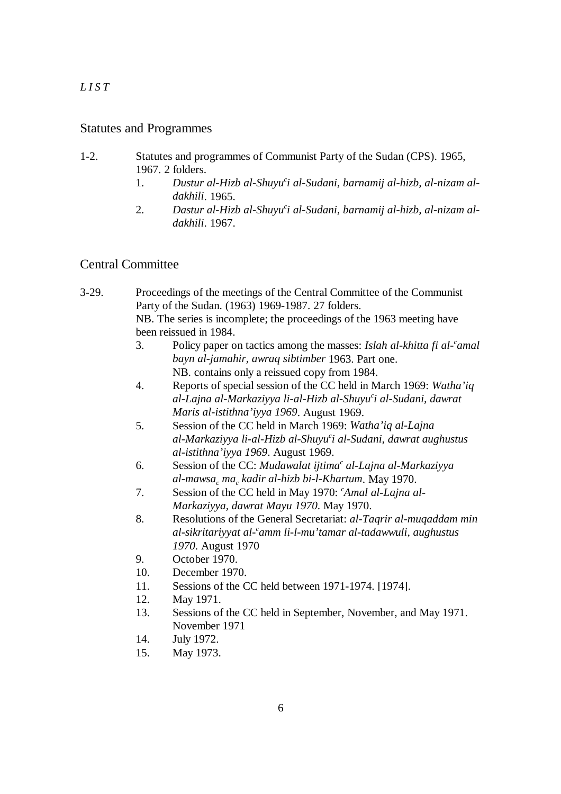# *LIST*

## Statutes and Programmes

- 1-2. Statutes and programmes of Communist Party of the Sudan (CPS). 1965, 1967. 2 folders.
	- 1. *Dustur al-Hizb al-Shuyu i al-Sudani, barnamij al-hizb, al-nizam al- <sup>c</sup> dakhili*. 1965.
	- 2. *Dastur al-Hizb al-Shuyu i al-Sudani, barnamij al-hizb, al-nizam al- <sup>c</sup> dakhili*. 1967.

# Central Committee

- 3-29. Proceedings of the meetings of the Central Committee of the Communist Party of the Sudan. (1963) 1969-1987. 27 folders. NB. The series is incomplete; the proceedings of the 1963 meeting have been reissued in 1984.
	- 3. Policy paper on tactics among the masses: *Islah al-khitta fi al- amal <sup>c</sup> bayn al-jamahir, awraq sibtimber* 1963. Part one. NB. contains only a reissued copy from 1984.
	- 4. Reports of special session of the CC held in March 1969: *Watha'iq al-Lajna al-Markaziyya li-al-Hizb al-Shuyu i al-Sudani, dawrat <sup>c</sup> Maris al-istithna'iyya 1969*. August 1969.
	- 5. Session of the CC held in March 1969: *Watha'iq al-Lajna al-Markaziyya li-al-Hizb al-Shuyu i al-Sudani, dawrat aughustus <sup>c</sup> al-istithna'iyya 1969*. August 1969.
	- 6. Session of the CC: *Mudawalat ijtima<sup>c</sup> al-Lajna al-Markaziyya al-mawsa ma kadir al-hizb bi-l-Khartum*. May 1970. *c c*
	- 7. Session of the CC held in May 1970: *Amal al-Lajna al- <sup>c</sup> Markaziyya, dawrat Mayu 1970*. May 1970.
	- 8. Resolutions of the General Secretariat: *al-Taqrir al-muqaddam min al-sikritariyyat al- amm li-l-mu'tamar al-tadawwuli, aughustus <sup>c</sup> 1970*. August 1970
	- 9. October 1970.
	- 10. December 1970.
	- 11. Sessions of the CC held between 1971-1974. [1974].
	- 12. May 1971.
	- 13. Sessions of the CC held in September, November, and May 1971. November 1971
	- 14. July 1972.
	- 15. May 1973.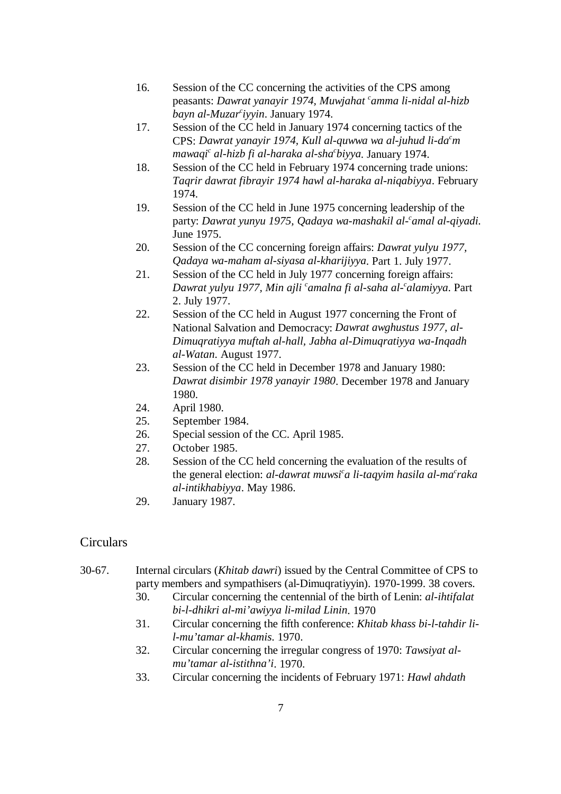- 16. Session of the CC concerning the activities of the CPS among peasants: *Dawrat yanayir 1974, Muwjahat <sup>c</sup>amma li-nidal al-hizb bayn al-Muzar iyyin*. January 1974. *<sup>c</sup>*
- 17. Session of the CC held in January 1974 concerning tactics of the CPS: Dawrat yanayir 1974, Kull al-quwwa wa al-juhud li-da<sup>c</sup>m *mawaqi<sup>c</sup> al-hizb fi al-haraka al-sha<sup>c</sup>biyya. January 1974.*
- 18. Session of the CC held in February 1974 concerning trade unions: *Taqrir dawrat fibrayir 1974 hawl al-haraka al-niqabiyya*. February 1974.
- 19. Session of the CC held in June 1975 concerning leadership of the party: *Dawrat yunyu 1975, Qadaya wa-mashakil al- amal al-qiyadi*. *<sup>c</sup>* June 1975.
- 20. Session of the CC concerning foreign affairs: *Dawrat yulyu 1977, Qadaya wa-maham al-siyasa al-kharijiyya*. Part 1. July 1977.
- 21. Session of the CC held in July 1977 concerning foreign affairs: *Dawrat yulyu 1977, Min ajli camalna fi al-saha al-calamiyya.* Part 2. July 1977.
- 22. Session of the CC held in August 1977 concerning the Front of National Salvation and Democracy: *Dawrat awghustus 1977, al-Dimuqratiyya muftah al-hall, Jabha al-Dimuqratiyya wa-Inqadh al-Watan*. August 1977.
- 23. Session of the CC held in December 1978 and January 1980: *Dawrat disimbir 1978 yanayir 1980*. December 1978 and January 1980.
- 24. April 1980.
- 25. September 1984.
- 26. Special session of the CC. April 1985.
- 27. October 1985.
- 28. Session of the CC held concerning the evaluation of the results of the general election: *al-dawrat muwsi<sup>c</sup>a li-taqyim hasila al-ma<sup>c</sup>raka al-intikhabiyya*. May 1986.
- 29. January 1987.

# Circulars

- 30-67. Internal circulars (*Khitab dawri*) issued by the Central Committee of CPS to party members and sympathisers (al-Dimuqratiyyin). 1970-1999. 38 covers.
	- 30. Circular concerning the centennial of the birth of Lenin: *al-ihtifalat bi-l-dhikri al-mi'awiyya li-milad Linin*. 1970
	- 31. Circular concerning the fifth conference: *Khitab khass bi-l-tahdir lil-mu'tamar al-khamis*. 1970.
	- 32. Circular concerning the irregular congress of 1970: *Tawsiyat almu'tamar al-istithna'i*. 1970.
	- 33. Circular concerning the incidents of February 1971: *Hawl ahdath*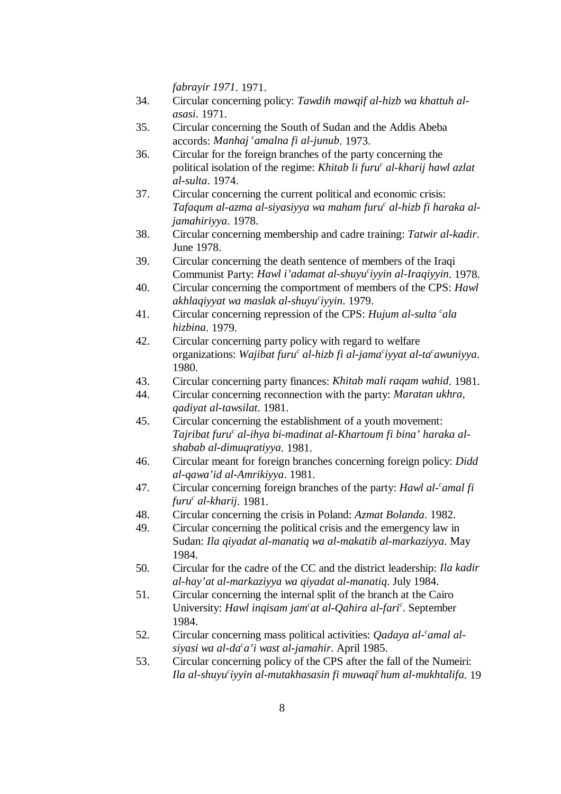*fabrayir 1971*. 1971.

- 34. Circular concerning policy: *Tawdih mawqif al-hizb wa khattuh alasasi*. 1971.
- 35. Circular concerning the South of Sudan and the Addis Abeba accords: *Manhaj <sup>c</sup>amalna fi al-junub*. 1973.
- 36. Circular for the foreign branches of the party concerning the political isolation of the regime: *Khitab li furu<sup>c</sup> al-kharij hawl azlat al-sulta*. 1974.
- 37. Circular concerning the current political and economic crisis: *Tafaqum al-azma al-siyasiyya wa maham furu al-hizb fi haraka al- <sup>c</sup> jamahiriyya*. 1978.
- 38. Circular concerning membership and cadre training: *Tatwir al-kadir*. June 1978.
- 39. Circular concerning the death sentence of members of the Iraqi Communist Party: *Hawl i'adamat al-shuyu'iyyin al-Iraqiyyin*. 1978.
- 40. Circular concerning the comportment of members of the CPS: *Hawl akhlaqiyyat wa maslak al-shuyu iyyin*. 1979. *<sup>c</sup>*
- 41. Circular concerning repression of the CPS: *Hujum al-sulta <sup>c</sup>ala hizbina*. 1979.
- 42. Circular concerning party policy with regard to welfare organizations: *Wajibat furu<sup>c</sup> al-hizb fi al-jama<sup>c</sup>iyyat al-ta<sup>c</sup>awuniyya.* 1980.
- 43. Circular concerning party finances: *Khitab mali raqam wahid*. 1981.
- 44. Circular concerning reconnection with the party: *Maratan ukhra, qadiyat al-tawsilat*. 1981.
- 45. Circular concerning the establishment of a youth movement: Tajribat furu<sup>c</sup> al-ihya bi-madinat al-Khartoum fi bina' haraka al*shabab al-dimuqratiyya*. 1981.
- 46. Circular meant for foreign branches concerning foreign policy: *Didd al-qawa'id al-Amrikiyya*. 1981.
- 47. Circular concerning foreign branches of the party: *Hawl al- amal fi <sup>c</sup> furu al-kharij*. 1981. *<sup>c</sup>*
- 48. Circular concerning the crisis in Poland: *Azmat Bolanda*. 1982.
- 49. Circular concerning the political crisis and the emergency law in Sudan: *Ila qiyadat al-manatiq wa al-makatib al-markaziyya*. May 1984.
- 50. Circular for the cadre of the CC and the district leadership: *Ila kadir al-hay'at al-markaziyya wa qiyadat al-manatiq*. July 1984.
- 51. Circular concerning the internal split of the branch at the Cairo University: *Hawl ingisam jam<sup>c</sup>at al-Qahira al-fari<sup>c</sup>. September* 1984.
- 52. Circular concerning mass political activities: *Qadaya al- amal al- <sup>c</sup> siyasi wa al-da a'i wast al-jamahir*. April 1985. *<sup>c</sup>*
- 53. Circular concerning policy of the CPS after the fall of the Numeiri: *Ila al-shuyu iyyin al-mutakhasasin fi muwaqi hum al-mukhtalifa*. 19 *c c*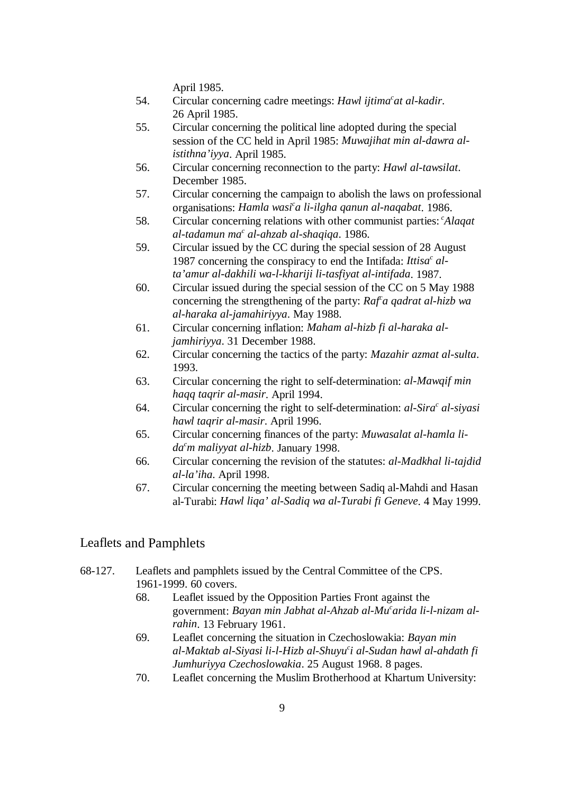April 1985.

- 54. Circular concerning cadre meetings: *Hawl ijtima<sup>c</sup>at al-kadir*. 26 April 1985.
- 55. Circular concerning the political line adopted during the special session of the CC held in April 1985: *Muwajihat min al-dawra alistithna'iyya*. April 1985.
- 56. Circular concerning reconnection to the party: *Hawl al-tawsilat*. December 1985.
- 57. Circular concerning the campaign to abolish the laws on professional organisations: *Hamla wasi<sup>c</sup>a li-ilgha qanun al-naqabat*. 1986.
- 58. Circular concerning relations with other communist parties: *Alaqat c al-tadamun ma<sup>c</sup> al-ahzab al-shaqiqa*. 1986.
- 59. Circular issued by the CC during the special session of 28 August 1987 concerning the conspiracy to end the Intifada: *Ittisa<sup>c</sup> alta'amur al-dakhili wa-l-khariji li-tasfiyat al-intifada*. 1987.
- 60. Circular issued during the special session of the CC on 5 May 1988 concerning the strengthening of the party: *Raf a qadrat al-hizb wa <sup>c</sup> al-haraka al-jamahiriyya*. May 1988.
- 61. Circular concerning inflation: *Maham al-hizb fi al-haraka aljamhiriyya*. 31 December 1988.
- 62. Circular concerning the tactics of the party: *Mazahir azmat al-sulta*. 1993.
- 63. Circular concerning the right to self-determination: *al-Mawqif min haqq taqrir al-masir*. April 1994.
- 64. Circular concerning the right to self-determination: *al-Sira al-siyasi <sup>c</sup> hawl taqrir al-masir*. April 1996.
- 65. Circular concerning finances of the party: *Muwasalat al-hamla lida m maliyyat al-hizb*. January 1998. *<sup>c</sup>*
- 66. Circular concerning the revision of the statutes: *al-Madkhal li-tajdid al-la'iha*. April 1998.
- 67. Circular concerning the meeting between Sadiq al-Mahdi and Hasan al-Turabi: *Hawl liqa' al-Sadiq wa al-Turabi fi Geneve*. 4 May 1999.

# Leaflets and Pamphlets

- 68-127. Leaflets and pamphlets issued by the Central Committee of the CPS. 1961-1999. 60 covers.
	- 68. Leaflet issued by the Opposition Parties Front against the government: *Bayan min Jabhat al-Ahzab al-Mu arida li-l-nizam al- <sup>c</sup> rahin*. 13 February 1961.
	- 69. Leaflet concerning the situation in Czechoslowakia: *Bayan min al-Maktab al-Siyasi li-l-Hizb al-Shuyu i al-Sudan hawl al-ahdath fi <sup>c</sup> Jumhuriyya Czechoslowakia*. 25 August 1968. 8 pages.
	- 70. Leaflet concerning the Muslim Brotherhood at Khartum University: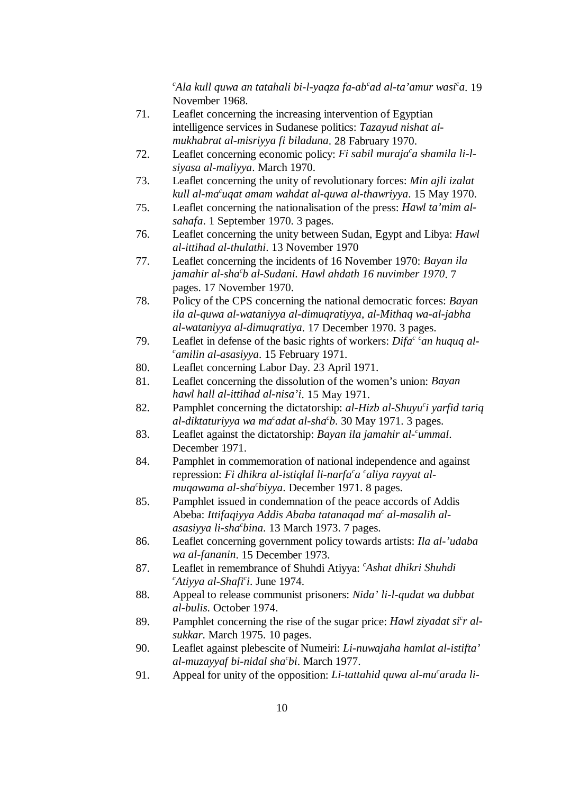*Ala kull quwa an tatahali bi-l-yaqza fa-ab ad al-ta'amur wasi a*. 19 *c cc* November 1968.

- 71. Leaflet concerning the increasing intervention of Egyptian intelligence services in Sudanese politics: *Tazayud nishat almukhabrat al-misriyya fi biladuna*. 28 Fabruary 1970.
- 72. Leaflet concerning economic policy: *Fi sabil muraja a shamila li-l- <sup>c</sup> siyasa al-maliyya*. March 1970.
- 73. Leaflet concerning the unity of revolutionary forces: *Min ajli izalat kull al-ma*<sup>c</sup>ugat amam wahdat al-quwa al-thawriyya. 15 May 1970.
- 75. Leaflet concerning the nationalisation of the press: *Hawl ta'mim alsahafa*. 1 September 1970. 3 pages.
- 76. Leaflet concerning the unity between Sudan, Egypt and Libya: *Hawl al-ittihad al-thulathi*. 13 November 1970
- 77. Leaflet concerning the incidents of 16 November 1970: *Bayan ila jamahir al-sha b al-Sudani. Hawl ahdath 16 nuvimber 1970*. 7 *<sup>c</sup>* pages. 17 November 1970.
- 78. Policy of the CPS concerning the national democratic forces: *Bayan ila al-quwa al-wataniyya al-dimuqratiyya, al-Mithaq wa-al-jabha al-wataniyya al-dimuqratiya*. 17 December 1970. 3 pages.
- 79. Leaflet in defense of the basic rights of workers:  $Dif a^{c}$  *can huquq alamilin al-asasiyya*. 15 February 1971. *<sup>c</sup>*
- 80. Leaflet concerning Labor Day. 23 April 1971.
- 81. Leaflet concerning the dissolution of the women's union: *Bayan hawl hall al-ittihad al-nisa'i*. 15 May 1971.
- 82. Pamphlet concerning the dictatorship: al-Hizb al-Shuyu<sup>c</sup>i yarfid tariq *al-diktaturiyya wa ma<sup>c</sup> adat al-sha<sup>c</sup>b.* 30 May 1971. 3 pages.
- 83. Leaflet against the dictatorship: *Bayan ila jamahir al- ummal*. *<sup>c</sup>* December 1971.
- 84. Pamphlet in commemoration of national independence and against repression: *Fi dhikra al-istiqlal li-narfa<sup>c</sup>a c<sup>a</sup> caliya rayyat almuqawama al-sha<sup>c</sup>biyya*. December 1971. 8 pages.
- 85. Pamphlet issued in condemnation of the peace accords of Addis Abeba: *Ittifaqiyya Addis Ababa tatanaqad ma<sup>c</sup> al-masalih alasasiyya li-sha bina*. 13 March 1973. 7 pages. *<sup>c</sup>*
- 86. Leaflet concerning government policy towards artists: *Ila al-'udaba wa al-fananin*. 15 December 1973.
- 87. Leaflet in remembrance of Shuhdi Atiyya: *Ashat dhikri Shuhdi <sup>c</sup>*  $c^c$ Atiyya al-Shafi<sup>c</sup>i. June 1974.
- 88. Appeal to release communist prisoners: *Nida' li-l-qudat wa dubbat al-bulis*. October 1974.
- 89. Pamphlet concerning the rise of the sugar price: *Hawl ziyadat si<sup>c</sup>r alsukkar*. March 1975. 10 pages.
- 90. Leaflet against plebescite of Numeiri: *Li-nuwajaha hamlat al-istifta' al-muzayyaf bi-nidal sha bi*. March 1977. *<sup>c</sup>*
- 91. Appeal for unity of the opposition: *Li-tattahid quwa al-mu arada li- <sup>c</sup>*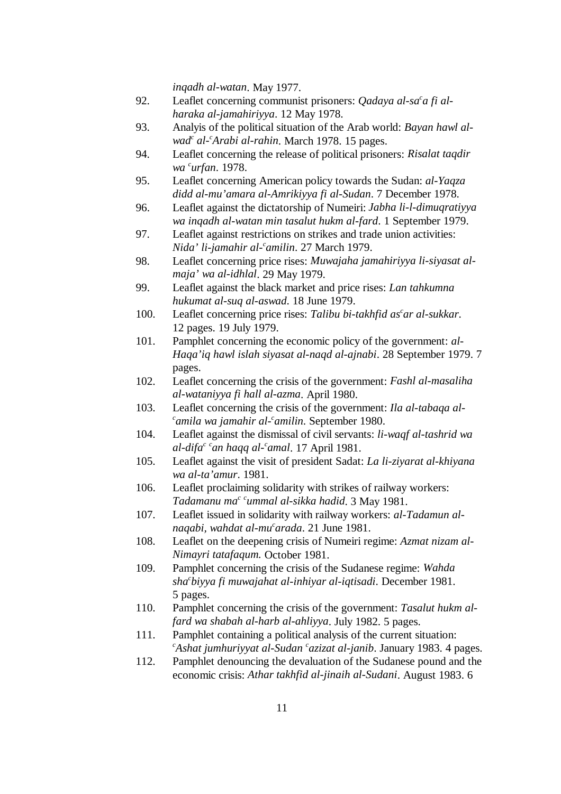*inqadh al-watan*. May 1977.

- 92. Leaflet concerning communist prisoners: *Qadaya al-sa<sup>c</sup>a fi alharaka al-jamahiriyya*. 12 May 1978.
- 93. Analyis of the political situation of the Arab world: *Bayan hawl alwad<sup>c</sup> al-<sup>c</sup>Arabi al-rahin*. March 1978. 15 pages.
- 94. Leaflet concerning the release of political prisoners: *Risalat taqdir wa urfan*. 1978. *<sup>c</sup>*
- 95. Leaflet concerning American policy towards the Sudan: *al-Yaqza didd al-mu'amara al-Amrikiyya fi al-Sudan*. 7 December 1978.
- 96. Leaflet against the dictatorship of Numeiri: *Jabha li-l-dimuqratiyya wa inqadh al-watan min tasalut hukm al-fard*. 1 September 1979.
- 97. Leaflet against restrictions on strikes and trade union activities: *Nida' li-jamahir al- amilin*. 27 March 1979. *<sup>c</sup>*
- 98. Leaflet concerning price rises: *Muwajaha jamahiriyya li-siyasat almaja' wa al-idhlal*. 29 May 1979.
- 99. Leaflet against the black market and price rises: *Lan tahkumna hukumat al-suq al-aswad*. 18 June 1979.
- 100. Leaflet concerning price rises: Talibu bi-takhfid as<sup>c</sup>ar al-sukkar. 12 pages. 19 July 1979.
- 101. Pamphlet concerning the economic policy of the government: *al-Haqa'iq hawl islah siyasat al-naqd al-ajnabi*. 28 September 1979. 7 pages.
- 102. Leaflet concerning the crisis of the government: *Fashl al-masaliha al-wataniyya fi hall al-azma*. April 1980.
- 103. Leaflet concerning the crisis of the government: *Ila al-tabaqa al-*<sup>*c*</sup>amila wa jamahir al-<sup>c</sup>amilin. September 1980.
- 104. Leaflet against the dismissal of civil servants: *li-waqf al-tashrid wa*  $a$ l-difa<sup>c c</sup>an haqq al-<sup>c</sup>amal. 17 April 1981.
- 105. Leaflet against the visit of president Sadat: *La li-ziyarat al-khiyana wa al-ta'amur*. 1981.
- 106. Leaflet proclaiming solidarity with strikes of railway workers: *Tadamanu ma<sup>c c</sup>ummal al-sikka hadid*. 3 May 1981.
- 107. Leaflet issued in solidarity with railway workers: *al-Tadamun alnaqabi, wahdat al-mu arada*. 21 June 1981. *<sup>c</sup>*
- 108. Leaflet on the deepening crisis of Numeiri regime: *Azmat nizam al-Nimayri tatafaqum.* October 1981.
- 109. Pamphlet concerning the crisis of the Sudanese regime: *Wahda sha biyya fi muwajahat al-inhiyar al-iqtisadi*. December 1981. *<sup>c</sup>* 5 pages.
- 110. Pamphlet concerning the crisis of the government: *Tasalut hukm alfard wa shabah al-harb al-ahliyya*. July 1982. 5 pages.
- 111. Pamphlet containing a political analysis of the current situation: *Ashat jumhuriyyat al-Sudan azizat al-janib*. January 1983. 4 pages. *c c*
- 112. Pamphlet denouncing the devaluation of the Sudanese pound and the economic crisis: *Athar takhfid al-jinaih al-Sudani*. August 1983. 6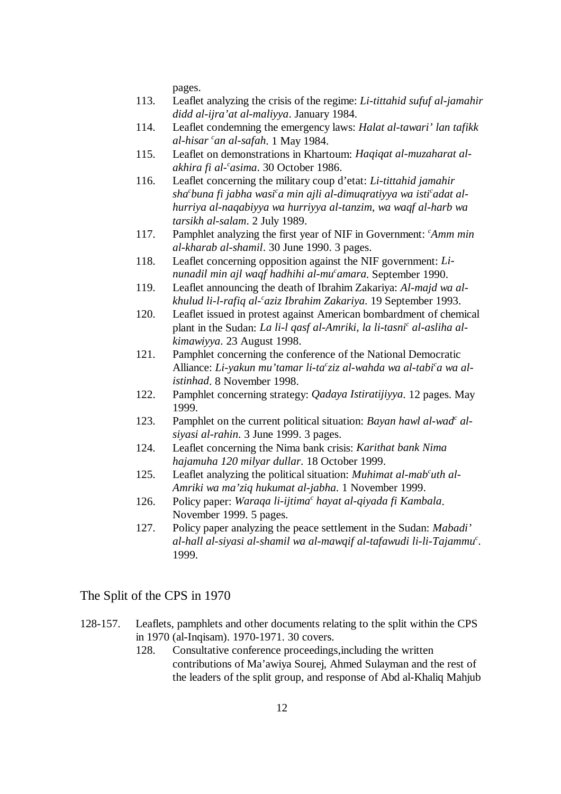pages.

- 113. Leaflet analyzing the crisis of the regime: *Li-tittahid sufuf al-jamahir didd al-ijra'at al-maliyya*. January 1984.
- 114. Leaflet condemning the emergency laws: *Halat al-tawari' lan tafikk al-hisar an al-safah*. 1 May 1984. *<sup>c</sup>*
- 115. Leaflet on demonstrations in Khartoum: *Haqiqat al-muzaharat alakhira fi al- asima*. 30 October 1986. *<sup>c</sup>*
- 116. Leaflet concerning the military coup d'etat: *Li-tittahid jamahir sha buna fi jabha wasi a min ajli al-dimuqratiyya wa isti adat al- cc c hurriya al-naqabiyya wa hurriyya al-tanzim, wa waqf al-harb wa tarsikh al-salam*. 2 July 1989.
- 117. Pamphlet analyzing the first year of NIF in Government: *Amm min al-kharab al-shamil*. 30 June 1990. 3 pages.
- 118. Leaflet concerning opposition against the NIF government: *Linunadil min ajl waqf hadhihi al-mu amara*. September 1990. *<sup>c</sup>*
- 119. Leaflet announcing the death of Ibrahim Zakariya: *Al-majd wa alkhulud li-l-rafiq al- aziz Ibrahim Zakariya*. 19 September 1993. *<sup>c</sup>*
- 120. Leaflet issued in protest against American bombardment of chemical plant in the Sudan: *La li-l qasf al-Amriki, la li-tasni<sup>c</sup> al-asliha alkimawiyya*. 23 August 1998.
- 121. Pamphlet concerning the conference of the National Democratic Alliance: *Li-yakun mu'tamar li-ta<sup>c</sup>ziz al-wahda wa al-tabi<sup>c</sup>a wa alistinhad*. 8 November 1998.
- 122. Pamphlet concerning strategy: *Qadaya Istiratijiyya*. 12 pages. May 1999.
- 123. Pamphlet on the current political situation: *Bayan hawl al-wad<sup>c</sup> alsiyasi al-rahin*. 3 June 1999. 3 pages.
- 124. Leaflet concerning the Nima bank crisis: *Karithat bank Nima hajamuha 120 milyar dullar*. 18 October 1999.
- 125. Leaflet analyzing the political situation: *Muhimat al-mab<sup>c</sup>uth al-Amriki wa ma'ziq hukumat al-jabha*. 1 November 1999.
- 126. Policy paper: *Waraqa li-ijtima<sup>c</sup> hayat al-qiyada fi Kambala*. November 1999. 5 pages.
- 127. Policy paper analyzing the peace settlement in the Sudan: *Mabadi'* al-hall al-siyasi al-shamil wa al-mawqif al-tafawudi li-li-Tajammu<sup>c</sup>. 1999.

### The Split of the CPS in 1970

- 128-157. Leaflets, pamphlets and other documents relating to the split within the CPS in 1970 (al-Inqisam). 1970-1971. 30 covers.
	- 128. Consultative conference proceedings,including the written contributions of Ma'awiya Sourej, Ahmed Sulayman and the rest of the leaders of the split group, and response of Abd al-Khaliq Mahjub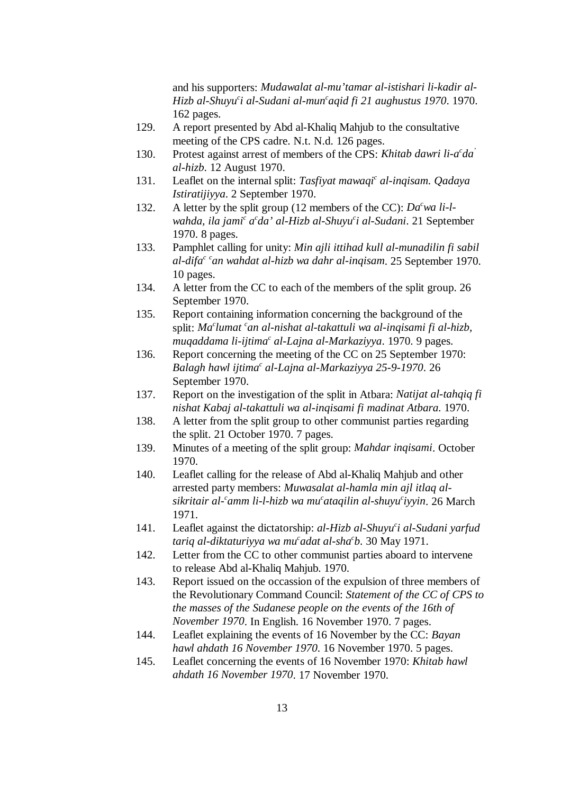and his supporters: *Mudawalat al-mu'tamar al-istishari li-kadir al-Hizb al-Shuyu<sup>c</sup>i al-Sudani al-mun<sup>c</sup>agid fi 21 aughustus 1970.* 1970. 162 pages.

- 129. A report presented by Abd al-Khaliq Mahjub to the consultative meeting of the CPS cadre. N.t. N.d. 126 pages.
- 130. Protest against arrest of members of the CPS: *Khitab dawri li-a<sup>c</sup>da*<sup>*'*</sup> *al-hizb*. 12 August 1970.
- 131. Leaflet on the internal split: *Tasfiyat mawaqi<sup>c</sup> al-inqisam. Qadaya Istiratijiyya*. 2 September 1970.
- 132. A letter by the split group (12 members of the CC):  $Da<sup>c</sup>wa li-l$ *wahda, ila jami<sup>c</sup> a<sup>c</sup>da' al-Hizb al-Shuyu<sup>c</sup>i al-Sudani.* 21 September 1970. 8 pages.
- 133. Pamphlet calling for unity: *Min ajli ittihad kull al-munadilin fi sabil al-difa<sup>c c</sup>an wahdat al-hizb wa dahr al-inqisam.* 25 September 1970. 10 pages.
- 134. A letter from the CC to each of the members of the split group. 26 September 1970.
- 135. Report containing information concerning the background of the split: *Ma<sup>c</sup>lumat <sup>c</sup>an al-nishat al-takattuli wa al-inqisami fi al-hizb, muqaddama li-ijtima<sup>c</sup> al-Lajna al-Markaziyya*. 1970. 9 pages.
- 136. Report concerning the meeting of the CC on 25 September 1970: *Balagh hawl ijtima<sup>c</sup> al-Lajna al-Markaziyya 25-9-1970.* 26 September 1970.
- 137. Report on the investigation of the split in Atbara: *Natijat al-tahqiq fi nishat Kabaj al-takattuli wa al-inqisami fi madinat Atbara*. 1970.
- 138. A letter from the split group to other communist parties regarding the split. 21 October 1970. 7 pages.
- 139. Minutes of a meeting of the split group: *Mahdar inqisami*. October 1970.
- 140. Leaflet calling for the release of Abd al-Khaliq Mahjub and other arrested party members: *Muwasalat al-hamla min ajl itlaq alsikritair al- amm li-l-hizb wa mu ataqilin al-shuyu iyyin*. 26 March *c cc* 1971.
- 141. Leaflet against the dictatorship: *al-Hizb al-Shuyu i al-Sudani yarfud <sup>c</sup> tariq al-diktaturiyya wa mu<sup>c</sup>adat al-sha<sup>c</sup>b.* 30 May 1971.
- 142. Letter from the CC to other communist parties aboard to intervene to release Abd al-Khaliq Mahjub. 1970.
- 143. Report issued on the occassion of the expulsion of three members of the Revolutionary Command Council: *Statement of the CC of CPS to the masses of the Sudanese people on the events of the 16th of November 1970*. In English. 16 November 1970. 7 pages.
- 144. Leaflet explaining the events of 16 November by the CC: *Bayan hawl ahdath 16 November 1970*. 16 November 1970. 5 pages.
- 145. Leaflet concerning the events of 16 November 1970: *Khitab hawl ahdath 16 November 1970*. 17 November 1970.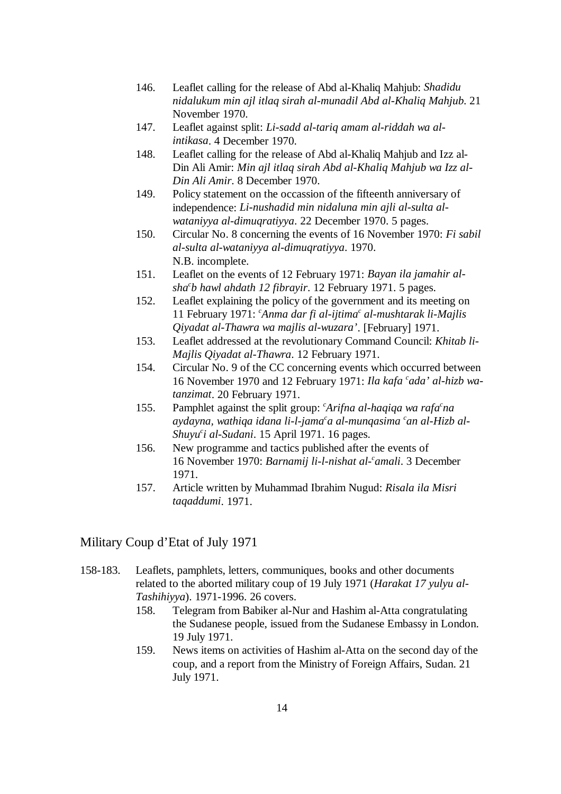- 146. Leaflet calling for the release of Abd al-Khaliq Mahjub: *Shadidu nidalukum min ajl itlaq sirah al-munadil Abd al-Khaliq Mahjub*. 21 November 1970.
- 147. Leaflet against split: *Li-sadd al-tariq amam al-riddah wa alintikasa*. 4 December 1970.
- 148. Leaflet calling for the release of Abd al-Khaliq Mahjub and Izz al-Din Ali Amir: *Min ajl itlaq sirah Abd al-Khaliq Mahjub wa Izz al-Din Ali Amir*. 8 December 1970.
- 149. Policy statement on the occassion of the fifteenth anniversary of independence: *Li-nushadid min nidaluna min ajli al-sulta alwataniyya al-dimuqratiyya*. 22 December 1970. 5 pages.
- 150. Circular No. 8 concerning the events of 16 November 1970: *Fi sabil al-sulta al-wataniyya al-dimuqratiyya*. 1970. N.B. incomplete.
- 151. Leaflet on the events of 12 February 1971: *Bayan ila jamahir alsha b hawl ahdath 12 fibrayir*. 12 February 1971. 5 pages. *<sup>c</sup>*
- 152. Leaflet explaining the policy of the government and its meeting on 11 February 1971: *Anma dar fi al-ijtima<sup>c</sup> al-mushtarak li-Majlis Qiyadat al-Thawra wa majlis al-wuzara'*. [February] 1971.
- 153. Leaflet addressed at the revolutionary Command Council: *Khitab li-Majlis Qiyadat al-Thawra*. 12 February 1971.
- 154. Circular No. 9 of the CC concerning events which occurred between 16 November 1970 and 12 February 1971: *Ila kafa cada' al-hizb watanzimat*. 20 February 1971.
- 155. Pamphlet against the split group:  $^{c}$ Arifna al-haqiqa wa rafa $^{c}$ na *aydayna, wathiqa idana li-l-jama<sup>c</sup>a al-munqasima <sup>c</sup>an al-Hizb al-Shuyu<sup>c</sup>i al-Sudani*. 15 April 1971. 16 pages.
- 156. New programme and tactics published after the events of 16 November 1970: *Barnamij li-l-nishat al- amali*. 3 December *<sup>c</sup>* 1971.
- 157. Article written by Muhammad Ibrahim Nugud: *Risala ila Misri taqaddumi*. 1971.

# Military Coup d'Etat of July 1971

- 158-183. Leaflets, pamphlets, letters, communiques, books and other documents related to the aborted military coup of 19 July 1971 (*Harakat 17 yulyu al-Tashihiyya*). 1971-1996. 26 covers.
	- 158. Telegram from Babiker al-Nur and Hashim al-Atta congratulating the Sudanese people, issued from the Sudanese Embassy in London. 19 July 1971.
	- 159. News items on activities of Hashim al-Atta on the second day of the coup, and a report from the Ministry of Foreign Affairs, Sudan. 21 July 1971.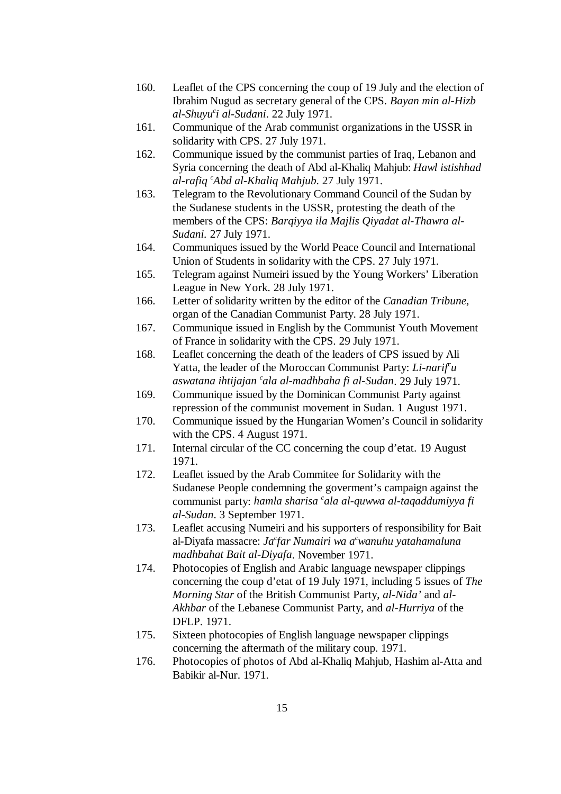- 160. Leaflet of the CPS concerning the coup of 19 July and the election of Ibrahim Nugud as secretary general of the CPS. *Bayan min al-Hizb al-Shuyu i al-Sudani*. 22 July 1971. *<sup>c</sup>*
- 161. Communique of the Arab communist organizations in the USSR in solidarity with CPS. 27 July 1971.
- 162. Communique issued by the communist parties of Iraq, Lebanon and Syria concerning the death of Abd al-Khaliq Mahjub: *Hawl istishhad al-rafiq Abd al-Khaliq Mahjub*. 27 July 1971. *<sup>c</sup>*
- 163. Telegram to the Revolutionary Command Council of the Sudan by the Sudanese students in the USSR, protesting the death of the members of the CPS: *Barqiyya ila Majlis Qiyadat al-Thawra al-Sudani.* 27 July 1971.
- 164. Communiques issued by the World Peace Council and International Union of Students in solidarity with the CPS. 27 July 1971.
- 165. Telegram against Numeiri issued by the Young Workers' Liberation League in New York. 28 July 1971.
- 166. Letter of solidarity written by the editor of the *Canadian Tribune*, organ of the Canadian Communist Party. 28 July 1971.
- 167. Communique issued in English by the Communist Youth Movement of France in solidarity with the CPS. 29 July 1971.
- 168. Leaflet concerning the death of the leaders of CPS issued by Ali Yatta, the leader of the Moroccan Communist Party: *Li-narif'u aswatana ihtijajan 'ala al-madhbaha fi al-Sudan.* 29 July 1971.
- 169. Communique issued by the Dominican Communist Party against repression of the communist movement in Sudan. 1 August 1971.
- 170. Communique issued by the Hungarian Women's Council in solidarity with the CPS. 4 August 1971.
- 171. Internal circular of the CC concerning the coup d'etat. 19 August 1971.
- 172. Leaflet issued by the Arab Commitee for Solidarity with the Sudanese People condemning the goverment's campaign against the communist party: *hamla sharisa cala al-quwwa al-taqaddumiyya fi al-Sudan*. 3 September 1971.
- 173. Leaflet accusing Numeiri and his supporters of responsibility for Bait al-Diyafa massacre: *Ja<sup>c</sup>far Numairi wa a<sup>c</sup>wanuhu yatahamaluna madhbahat Bait al-Diyafa*. November 1971.
- 174. Photocopies of English and Arabic language newspaper clippings concerning the coup d'etat of 19 July 1971, including 5 issues of *The Morning Star* of the British Communist Party, *al-Nida'* and *al-Akhbar* of the Lebanese Communist Party, and *al-Hurriya* of the DFLP. 1971.
- 175. Sixteen photocopies of English language newspaper clippings concerning the aftermath of the military coup. 1971.
- 176. Photocopies of photos of Abd al-Khaliq Mahjub, Hashim al-Atta and Babikir al-Nur. 1971.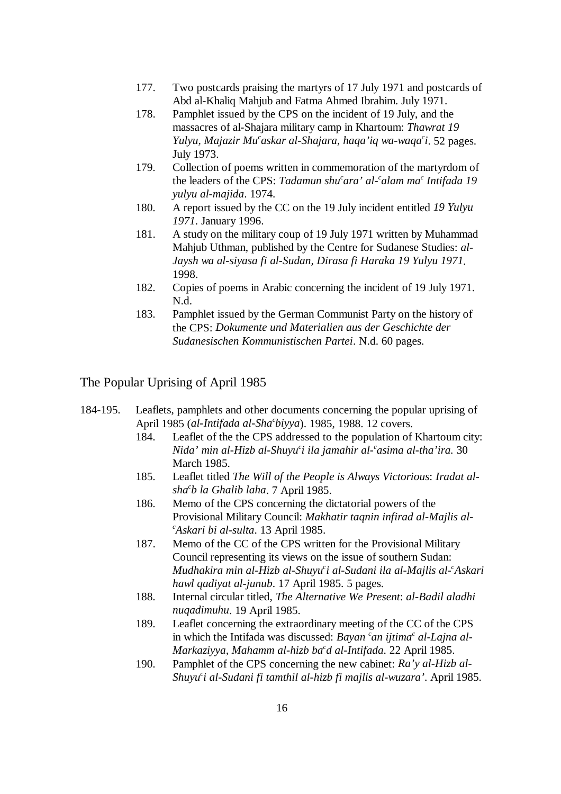- 177. Two postcards praising the martyrs of 17 July 1971 and postcards of Abd al-Khaliq Mahjub and Fatma Ahmed Ibrahim. July 1971.
- 178. Pamphlet issued by the CPS on the incident of 19 July, and the massacres of al-Shajara military camp in Khartoum: *Thawrat 19 Yulyu, Majazir Mu<sup>c</sup>askar al-Shajara, haqa'iq wa-waqa<sup>c</sup>i. 52 pages.* July 1973.
- 179. Collection of poems written in commemoration of the martyrdom of the leaders of the CPS: Tadamun shu<sup>c</sup>ara' al-calam ma<sup>c</sup> Intifada 19 *yulyu al-majida*. 1974.
- 180. A report issued by the CC on the 19 July incident entitled *19 Yulyu 1971*. January 1996.
- 181. A study on the military coup of 19 July 1971 written by Muhammad Mahjub Uthman, published by the Centre for Sudanese Studies: *al-Jaysh wa al-siyasa fi al-Sudan, Dirasa fi Haraka 19 Yulyu 1971*. 1998.
- 182. Copies of poems in Arabic concerning the incident of 19 July 1971. N.d.
- 183. Pamphlet issued by the German Communist Party on the history of the CPS: *Dokumente und Materialien aus der Geschichte der Sudanesischen Kommunistischen Partei*. N.d. 60 pages.

# The Popular Uprising of April 1985

- 184-195. Leaflets, pamphlets and other documents concerning the popular uprising of April 1985 (*al-Intifada al-Sha biyya*). 1985, 1988. 12 covers. *<sup>c</sup>*
	- 184. Leaflet of the the CPS addressed to the population of Khartoum city: *Nida' min al-Hizb al-Shuyu<sup>c</sup>i ila jamahir al-casima al-tha'ira.* 30 March 1985.
	- 185. Leaflet titled *The Will of the People is Always Victorious*: *Iradat alsha b la Ghalib laha*. 7 April 1985. *<sup>c</sup>*
	- 186. Memo of the CPS concerning the dictatorial powers of the Provisional Military Council: *Makhatir taqnin infirad al-Majlis al-Askari bi al-sulta*. 13 April 1985. *<sup>c</sup>*
	- 187. Memo of the CC of the CPS written for the Provisional Military Council representing its views on the issue of southern Sudan: *Mudhakira min al-Hizb al-Shuyu i al-Sudani ila al-Majlis al- Askari c c hawl qadiyat al-junub*. 17 April 1985. 5 pages.
	- 188. Internal circular titled, *The Alternative We Present*: *al-Badil aladhi nuqadimuhu*. 19 April 1985.
	- 189. Leaflet concerning the extraordinary meeting of the CC of the CPS in which the Intifada was discussed: *Bayan 'an ijtima' al-Lajna al-Markaziyya, Mahamm al-hizb ba<sup>c</sup>d al-Intifada.* 22 April 1985.
	- 190. Pamphlet of the CPS concerning the new cabinet: *Ra'y al-Hizb al-Shuyu i al-Sudani fi tamthil al-hizb fi majlis al-wuzara'*. April 1985. *<sup>c</sup>*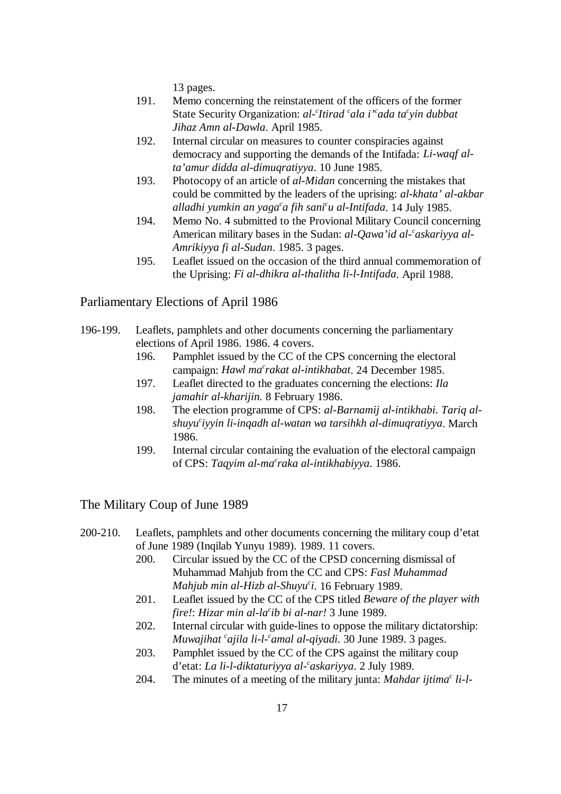13 pages.

- 191. Memo concerning the reinstatement of the officers of the former State Security Organization: *al-<sup>c</sup>ltirad 'ala i' ada ta' yin dubbat Jihaz Amn al-Dawla*. April 1985.
- 192. Internal circular on measures to counter conspiracies against democracy and supporting the demands of the Intifada: *Li-waqf alta'amur didda al-dimuqratiyya*. 10 June 1985.
- 193. Photocopy of an article of *al-Midan* concerning the mistakes that could be committed by the leaders of the uprising: *al-khata' al-akbar alladhi yumkin an yaga a fih sani u al-Intifada*. 14 July 1985. *c c*
- 194. Memo No. 4 submitted to the Provional Military Council concerning American military bases in the Sudan: *al-Qawa'id al- askariyya al- <sup>c</sup> Amrikiyya fi al-Sudan*. 1985. 3 pages.
- 195. Leaflet issued on the occasion of the third annual commemoration of the Uprising: *Fi al-dhikra al-thalitha li-l-Intifada*. April 1988.

Parliamentary Elections of April 1986

- 196-199. Leaflets, pamphlets and other documents concerning the parliamentary elections of April 1986. 1986. 4 covers.
	- 196. Pamphlet issued by the CC of the CPS concerning the electoral campaign: *Hawl ma<sup>c</sup>rakat al-intikhabat*. 24 December 1985.
	- 197. Leaflet directed to the graduates concerning the elections: *Ila jamahir al-kharijin.* 8 February 1986.
	- 198. The election programme of CPS: *al-Barnamij al-intikhabi. Tariq alshuyu iyyin li-inqadh al-watan wa tarsihkh al-dimuqratiyya*. March *<sup>c</sup>* 1986.
	- 199. Internal circular containing the evaluation of the electoral campaign of CPS: Taqyim al-ma<sup>c</sup>raka al-intikhabiyya. 1986.

The Military Coup of June 1989

- 200-210. Leaflets, pamphlets and other documents concerning the military coup d'etat of June 1989 (Inqilab Yunyu 1989). 1989. 11 covers.
	- 200. Circular issued by the CC of the CPSD concerning dismissal of Muhammad Mahjub from the CC and CPS: *Fasl Muhammad Mahjub min al-Hizb al-Shuyu<sup>c</sup>i*. 16 February 1989.
	- 201. Leaflet issued by the CC of the CPS titled *Beware of the player with fire!: Hizar min al-la<sup>c</sup>ib bi al-nar!* 3 June 1989.
	- 202. Internal circular with guide-lines to oppose the military dictatorship: *Muwajihat <sup>c</sup>ajila li-l- camal al-qiyadi.* 30 June 1989. 3 pages.
	- 203. Pamphlet issued by the CC of the CPS against the military coup d'etat: *La li-l-diktaturiyya al- askariyya*. 2 July 1989. *<sup>c</sup>*
	- 204. The minutes of a meeting of the military junta: *Mahdar ijtima<sup>c</sup> li-l-*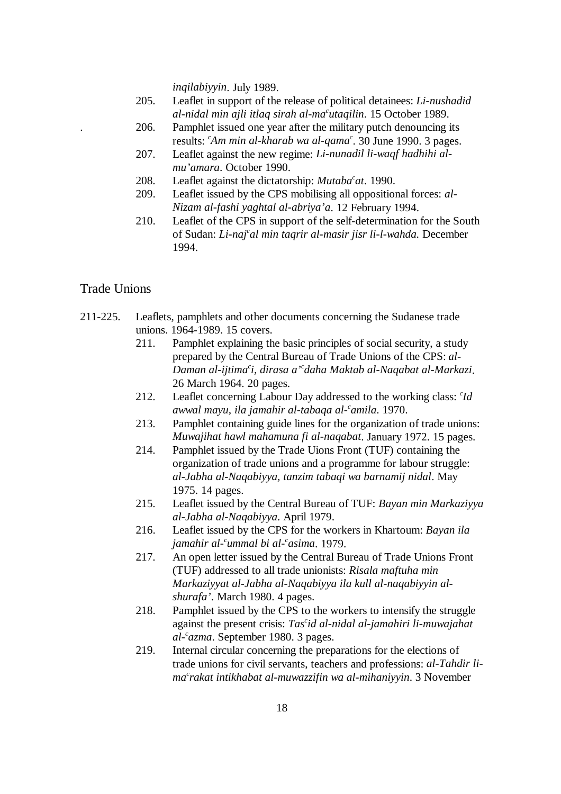*inqilabiyyin*. July 1989.

- 205. Leaflet in support of the release of political detainees: *Li-nushadid al-nidal min ajli itlaq sirah al-ma utaqilin*. 15 October 1989. *<sup>c</sup>*
- . 206. Pamphlet issued one year after the military putch denouncing its results: *Am min al-kharab wa al-qama<sup>c</sup>*. 30 June 1990. 3 pages.
- 207. Leaflet against the new regime: *Li-nunadil li-waqf hadhihi almu'amara*. October 1990.
- 208. Leaflet against the dictatorship: *Mutaba<sup>c</sup>at*. 1990.
- 209. Leaflet issued by the CPS mobilising all oppositional forces: *al-Nizam al-fashi yaghtal al-abriya'a*. 12 February 1994.
- 210. Leaflet of the CPS in support of the self-determination for the South of Sudan: *Li-naj al min taqrir al-masir jisr li-l-wahda.* December *<sup>c</sup>* 1994.

Trade Unions

- 211-225. Leaflets, pamphlets and other documents concerning the Sudanese trade unions. 1964-1989. 15 covers.
	- 211. Pamphlet explaining the basic principles of social security, a study prepared by the Central Bureau of Trade Unions of the CPS: *al-Daman al-ijtima i, dirasa a' daha Maktab al-Naqabat al-Markazi*. *c c* 26 March 1964. 20 pages.
	- 212. Leaflet concerning Labour Day addressed to the working class: *Id awwal mayu, ila jamahir al-tabaqa al- amila*. 1970. *<sup>c</sup>*
	- 213. Pamphlet containing guide lines for the organization of trade unions: *Muwajihat hawl mahamuna fi al-naqabat*. January 1972. 15 pages.
	- 214. Pamphlet issued by the Trade Uions Front (TUF) containing the organization of trade unions and a programme for labour struggle: *al-Jabha al-Naqabiyya, tanzim tabaqi wa barnamij nidal*. May 1975. 14 pages.
	- 215. Leaflet issued by the Central Bureau of TUF: *Bayan min Markaziyya al-Jabha al-Naqabiyya*. April 1979.
	- 216. Leaflet issued by the CPS for the workers in Khartoum: *Bayan ila jamahir al-<sup>c</sup>ummal bi al-<sup>c</sup>asima*. 1979.
	- 217. An open letter issued by the Central Bureau of Trade Unions Front (TUF) addressed to all trade unionists: *Risala maftuha min Markaziyyat al-Jabha al-Naqabiyya ila kull al-naqabiyyin alshurafa'*. March 1980. 4 pages.
	- 218. Pamphlet issued by the CPS to the workers to intensify the struggle against the present crisis: *Tas<sup>c</sup>id al-nidal al-jamahiri li-muwajahat al- azma*. September 1980. 3 pages. *<sup>c</sup>*
	- 219. Internal circular concerning the preparations for the elections of trade unions for civil servants, teachers and professions: *al-Tahdir lima rakat intikhabat al-muwazzifin wa al-mihaniyyin*. 3 November *<sup>c</sup>*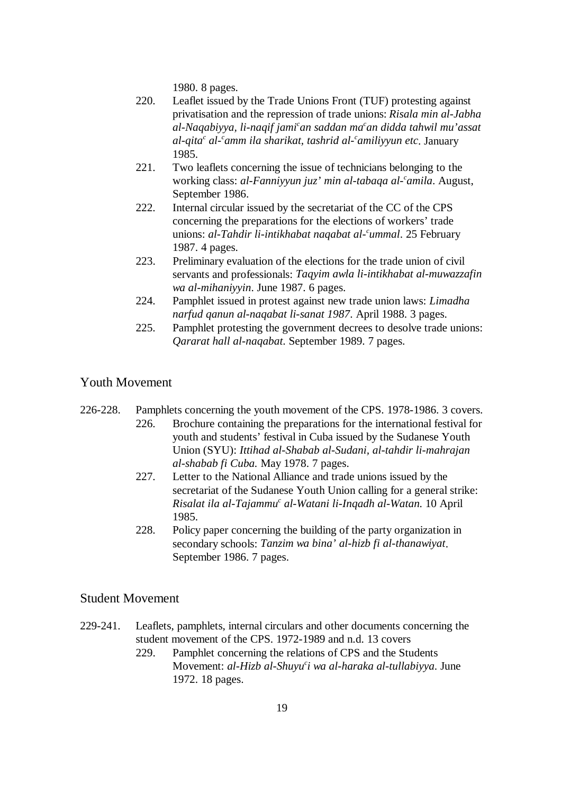1980. 8 pages.

- 220. Leaflet issued by the Trade Unions Front (TUF) protesting against privatisation and the repression of trade unions: *Risala min al-Jabha al-Naqabiyya, li-naqif jami an saddan ma an didda tahwil mu'assat c c al-qita al- amm ila sharikat, tashrid al- amiliyyun etc*. January *cc c* 1985.
- 221. Two leaflets concerning the issue of technicians belonging to the working class: *al-Fanniyyun juz' min al-tabaqa al-<sup>c</sup>amila*. August, September 1986.
- 222. Internal circular issued by the secretariat of the CC of the CPS concerning the preparations for the elections of workers' trade unions: *al-Tahdir li-intikhabat naqabat al- ummal*. 25 February *<sup>c</sup>* 1987. 4 pages.
- 223. Preliminary evaluation of the elections for the trade union of civil servants and professionals: *Taqyim awla li-intikhabat al-muwazzafin wa al-mihaniyyin*. June 1987. 6 pages.
- 224. Pamphlet issued in protest against new trade union laws: *Limadha narfud qanun al-naqabat li-sanat 1987*. April 1988. 3 pages.
- 225. Pamphlet protesting the government decrees to desolve trade unions: *Qararat hall al-naqabat*. September 1989. 7 pages.

# Youth Movement

- 226-228. Pamphlets concerning the youth movement of the CPS. 1978-1986. 3 covers. 226. Brochure containing the preparations for the international festival for youth and students' festival in Cuba issued by the Sudanese Youth Union (SYU): *Ittihad al-Shabab al-Sudani, al-tahdir li-mahrajan al-shabab fi Cuba.* May 1978. 7 pages.
	- 227. Letter to the National Alliance and trade unions issued by the secretariat of the Sudanese Youth Union calling for a general strike: *Risalat ila al-Tajammu al-Watani li-Inqadh al-Watan.* 10 April *<sup>c</sup>* 1985.
	- 228. Policy paper concerning the building of the party organization in secondary schools: *Tanzim wa bina' al-hizb fi al-thanawiyat*. September 1986. 7 pages.

# Student Movement

- 229-241. Leaflets, pamphlets, internal circulars and other documents concerning the student movement of the CPS. 1972-1989 and n.d. 13 covers
	- 229. Pamphlet concerning the relations of CPS and the Students Movement: *al-Hizb al-Shuyu<sup>c</sup>i wa al-haraka al-tullabiyya*. June 1972. 18 pages.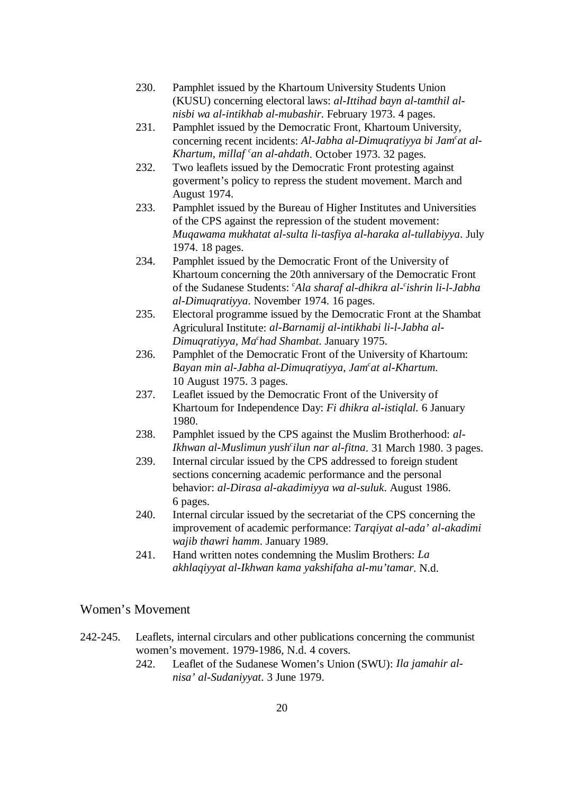- 230. Pamphlet issued by the Khartoum University Students Union (KUSU) concerning electoral laws: *al-Ittihad bayn al-tamthil alnisbi wa al-intikhab al-mubashir*. February 1973. 4 pages.
- 231. Pamphlet issued by the Democratic Front, Khartoum University, concerning recent incidents: *Al-Jabha al-Dimuqratiyya bi Jam<sup>c</sup>at al-Khartum, millaf 'an al-ahdath.* October 1973. 32 pages.
- 232. Two leaflets issued by the Democratic Front protesting against goverment's policy to repress the student movement. March and August 1974.
- 233. Pamphlet issued by the Bureau of Higher Institutes and Universities of the CPS against the repression of the student movement: *Muqawama mukhatat al-sulta li-tasfiya al-haraka al-tullabiyya*. July 1974. 18 pages.
- 234. Pamphlet issued by the Democratic Front of the University of Khartoum concerning the 20th anniversary of the Democratic Front of the Sudanese Students: *Ala sharaf al-dhikra al-<sup>c</sup>ishrin li-l-Jabha al-Dimuqratiyya*. November 1974. 16 pages.
- 235. Electoral programme issued by the Democratic Front at the Shambat Agriculural Institute: *al-Barnamij al-intikhabi li-l-Jabha al-Dimuqratiyya, Ma had Shambat*. January 1975. *<sup>c</sup>*
- 236. Pamphlet of the Democratic Front of the University of Khartoum: *Bayan min al-Jabha al-Dimuqratiyya, Jam<sup>c</sup>at al-Khartum.* 10 August 1975. 3 pages.
- 237. Leaflet issued by the Democratic Front of the University of Khartoum for Independence Day: *Fi dhikra al-istiqlal.* 6 January 1980.
- 238. Pamphlet issued by the CPS against the Muslim Brotherhood: *al-Ikhwan al-Muslimun yush ilun nar al-fitna*. 31 March 1980. 3 pages. *<sup>c</sup>*
- 239. Internal circular issued by the CPS addressed to foreign student sections concerning academic performance and the personal behavior: *al-Dirasa al-akadimiyya wa al-suluk*. August 1986. 6 pages.
- 240. Internal circular issued by the secretariat of the CPS concerning the improvement of academic performance: *Tarqiyat al-ada' al-akadimi wajib thawri hamm*. January 1989.
- 241. Hand written notes condemning the Muslim Brothers: *La akhlaqiyyat al-Ikhwan kama yakshifaha al-mu'tamar*. N.d.

# Women's Movement

- 242-245. Leaflets, internal circulars and other publications concerning the communist women's movement. 1979-1986, N.d. 4 covers.
	- 242. Leaflet of the Sudanese Women's Union (SWU): *Ila jamahir alnisa' al-Sudaniyyat*. 3 June 1979.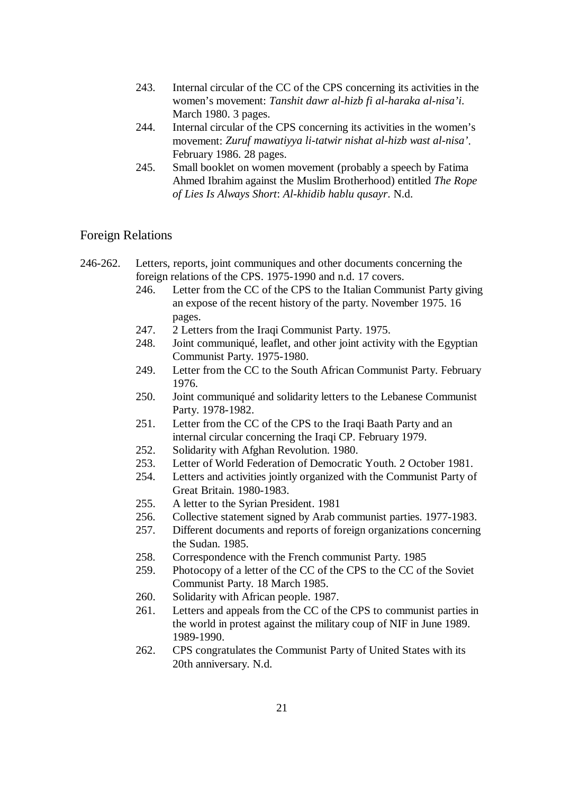- 243. Internal circular of the CC of the CPS concerning its activities in the women's movement: *Tanshit dawr al-hizb fi al-haraka al-nisa'i*. March 1980. 3 pages.
- 244. Internal circular of the CPS concerning its activities in the women's movement: *Zuruf mawatiyya li-tatwir nishat al-hizb wast al-nisa'*. February 1986. 28 pages.
- 245. Small booklet on women movement (probably a speech by Fatima Ahmed Ibrahim against the Muslim Brotherhood) entitled *The Rope of Lies Is Always Short*: *Al-khidib hablu qusayr*. N.d.

### Foreign Relations

- 246-262. Letters, reports, joint communiques and other documents concerning the foreign relations of the CPS. 1975-1990 and n.d. 17 covers.
	- 246. Letter from the CC of the CPS to the Italian Communist Party giving an expose of the recent history of the party. November 1975. 16 pages.
	- 247. 2 Letters from the Iraqi Communist Party. 1975.
	- 248. Joint communiqué, leaflet, and other joint activity with the Egyptian Communist Party. 1975-1980.
	- 249. Letter from the CC to the South African Communist Party. February 1976.
	- 250. Joint communiqué and solidarity letters to the Lebanese Communist Party. 1978-1982.
	- 251. Letter from the CC of the CPS to the Iraqi Baath Party and an internal circular concerning the Iraqi CP. February 1979.
	- 252. Solidarity with Afghan Revolution. 1980.
	- 253. Letter of World Federation of Democratic Youth. 2 October 1981.
	- 254. Letters and activities jointly organized with the Communist Party of Great Britain. 1980-1983.
	- 255. A letter to the Syrian President. 1981
	- 256. Collective statement signed by Arab communist parties. 1977-1983.
	- 257. Different documents and reports of foreign organizations concerning the Sudan. 1985.
	- 258. Correspondence with the French communist Party. 1985
	- 259. Photocopy of a letter of the CC of the CPS to the CC of the Soviet Communist Party. 18 March 1985.
	- 260. Solidarity with African people. 1987.
	- 261. Letters and appeals from the CC of the CPS to communist parties in the world in protest against the military coup of NIF in June 1989. 1989-1990.
	- 262. CPS congratulates the Communist Party of United States with its 20th anniversary. N.d.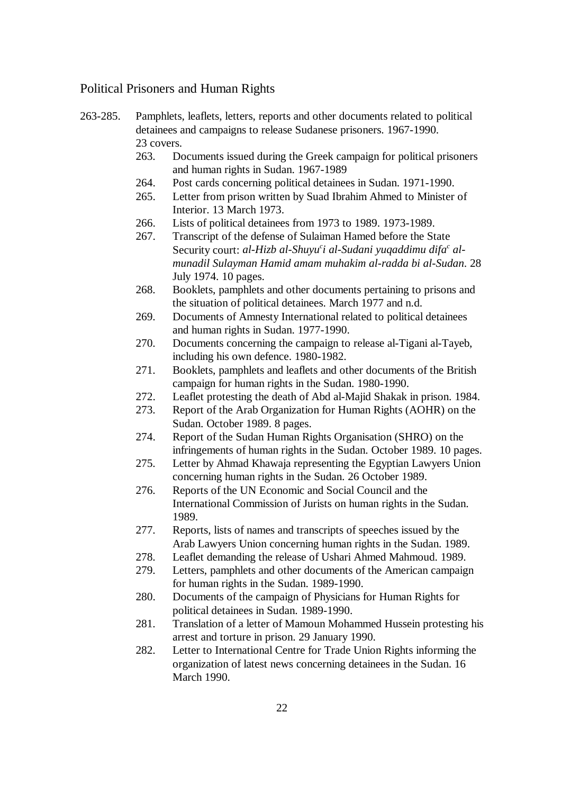# Political Prisoners and Human Rights

| 263-285. | Pamphlets, leaflets, letters, reports and other documents related to political |
|----------|--------------------------------------------------------------------------------|
|          | detainees and campaigns to release Sudanese prisoners. 1967-1990.              |
|          | 23 covers.                                                                     |

- 263. Documents issued during the Greek campaign for political prisoners and human rights in Sudan. 1967-1989
- 264. Post cards concerning political detainees in Sudan. 1971-1990.
- 265. Letter from prison written by Suad Ibrahim Ahmed to Minister of Interior. 13 March 1973.
- 266. Lists of political detainees from 1973 to 1989. 1973-1989.
- 267. Transcript of the defense of Sulaiman Hamed before the State Security court: *al-Hizb al-Shuyu<sup>c</sup>i al-Sudani yuqaddimu difa<sup>c</sup> almunadil Sulayman Hamid amam muhakim al-radda bi al-Sudan*. 28 July 1974. 10 pages.
- 268. Booklets, pamphlets and other documents pertaining to prisons and the situation of political detainees. March 1977 and n.d.
- 269. Documents of Amnesty International related to political detainees and human rights in Sudan. 1977-1990.
- 270. Documents concerning the campaign to release al-Tigani al-Tayeb, including his own defence. 1980-1982.
- 271. Booklets, pamphlets and leaflets and other documents of the British campaign for human rights in the Sudan. 1980-1990.
- 272. Leaflet protesting the death of Abd al-Majid Shakak in prison. 1984.
- 273. Report of the Arab Organization for Human Rights (AOHR) on the Sudan. October 1989. 8 pages.
- 274. Report of the Sudan Human Rights Organisation (SHRO) on the infringements of human rights in the Sudan. October 1989. 10 pages.
- 275. Letter by Ahmad Khawaja representing the Egyptian Lawyers Union concerning human rights in the Sudan. 26 October 1989.
- 276. Reports of the UN Economic and Social Council and the International Commission of Jurists on human rights in the Sudan. 1989.
- 277. Reports, lists of names and transcripts of speeches issued by the Arab Lawyers Union concerning human rights in the Sudan. 1989.
- 278. Leaflet demanding the release of Ushari Ahmed Mahmoud. 1989.
- 279. Letters, pamphlets and other documents of the American campaign for human rights in the Sudan. 1989-1990.
- 280. Documents of the campaign of Physicians for Human Rights for political detainees in Sudan. 1989-1990.
- 281. Translation of a letter of Mamoun Mohammed Hussein protesting his arrest and torture in prison. 29 January 1990.
- 282. Letter to International Centre for Trade Union Rights informing the organization of latest news concerning detainees in the Sudan. 16 March 1990.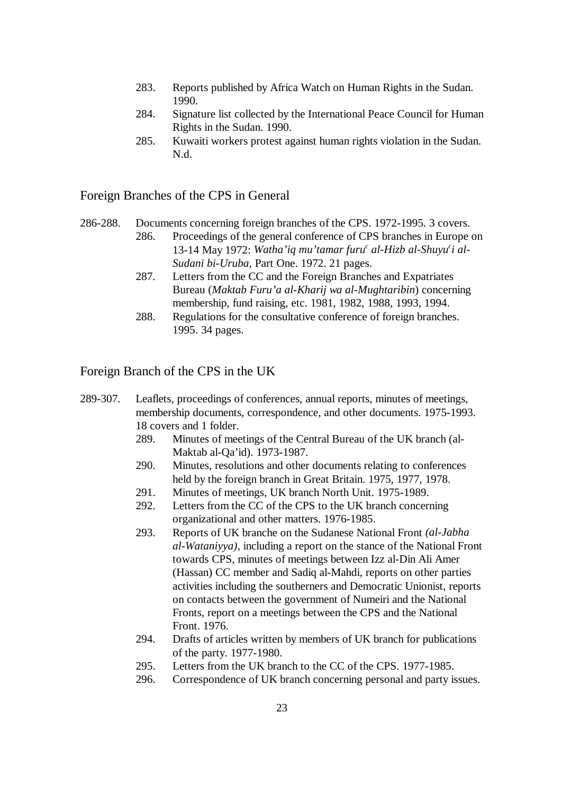- 283. Reports published by Africa Watch on Human Rights in the Sudan. 1990.
- 284. Signature list collected by the International Peace Council for Human Rights in the Sudan. 1990.
- 285. Kuwaiti workers protest against human rights violation in the Sudan. N.d.

## Foreign Branches of the CPS in General

- 286-288. Documents concerning foreign branches of the CPS. 1972-1995. 3 covers.
	- 286. Proceedings of the general conference of CPS branches in Europe on 13-14 May 1972: *Watha'iq mu'tamar furu<sup>c</sup> al-Hizb al-Shuyu<sup>c</sup>i al-Sudani bi-Uruba*, Part One. 1972. 21 pages.
	- 287. Letters from the CC and the Foreign Branches and Expatriates Bureau (*Maktab Furu'a al-Kharij wa al-Mughtaribin*) concerning membership, fund raising, etc. 1981, 1982, 1988, 1993, 1994.
	- 288. Regulations for the consultative conference of foreign branches. 1995. 34 pages.

Foreign Branch of the CPS in the UK

- 289-307. Leaflets, proceedings of conferences, annual reports, minutes of meetings, membership documents, correspondence, and other documents. 1975-1993. 18 covers and 1 folder.
	- 289. Minutes of meetings of the Central Bureau of the UK branch (al-Maktab al-Qa'id). 1973-1987.
	- 290. Minutes, resolutions and other documents relating to conferences held by the foreign branch in Great Britain. 1975, 1977, 1978.
	- 291. Minutes of meetings, UK branch North Unit. 1975-1989.
	- 292. Letters from the CC of the CPS to the UK branch concerning organizational and other matters. 1976-1985.
	- 293. Reports of UK branche on the Sudanese National Front *(al-Jabha al-Wataniyya)*, including a report on the stance of the National Front towards CPS, minutes of meetings between Izz al-Din Ali Amer (Hassan) CC member and Sadiq al-Mahdi, reports on other parties activities including the southerners and Democratic Unionist, reports on contacts between the government of Numeiri and the National Fronts, report on a meetings between the CPS and the National Front. 1976.
	- 294. Drafts of articles written by members of UK branch for publications of the party. 1977-1980.
	- 295. Letters from the UK branch to the CC of the CPS. 1977-1985.
	- 296. Correspondence of UK branch concerning personal and party issues.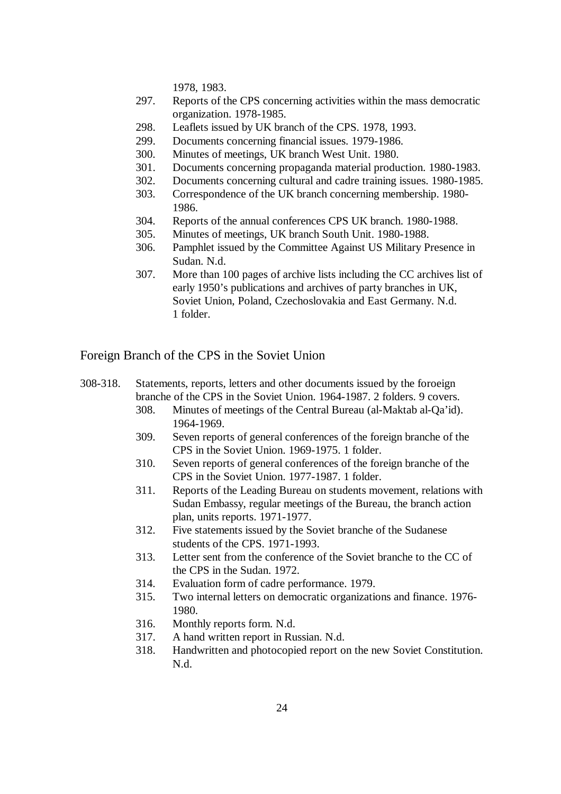1978, 1983.

- 297. Reports of the CPS concerning activities within the mass democratic organization. 1978-1985.
- 298. Leaflets issued by UK branch of the CPS. 1978, 1993.
- 299. Documents concerning financial issues. 1979-1986.
- 300. Minutes of meetings, UK branch West Unit. 1980.
- 301. Documents concerning propaganda material production. 1980-1983.
- 302. Documents concerning cultural and cadre training issues. 1980-1985.
- 303. Correspondence of the UK branch concerning membership. 1980- 1986.
- 304. Reports of the annual conferences CPS UK branch. 1980-1988.
- 305. Minutes of meetings, UK branch South Unit. 1980-1988.
- 306. Pamphlet issued by the Committee Against US Military Presence in Sudan. N.d.
- 307. More than 100 pages of archive lists including the CC archives list of early 1950's publications and archives of party branches in UK, Soviet Union, Poland, Czechoslovakia and East Germany. N.d. 1 folder.

Foreign Branch of the CPS in the Soviet Union

- 308-318. Statements, reports, letters and other documents issued by the foroeign branche of the CPS in the Soviet Union. 1964-1987. 2 folders. 9 covers.
	- 308. Minutes of meetings of the Central Bureau (al-Maktab al-Qa'id). 1964-1969.
	- 309. Seven reports of general conferences of the foreign branche of the CPS in the Soviet Union. 1969-1975. 1 folder.
	- 310. Seven reports of general conferences of the foreign branche of the CPS in the Soviet Union. 1977-1987. 1 folder.
	- 311. Reports of the Leading Bureau on students movement, relations with Sudan Embassy, regular meetings of the Bureau, the branch action plan, units reports. 1971-1977.
	- 312. Five statements issued by the Soviet branche of the Sudanese students of the CPS. 1971-1993.
	- 313. Letter sent from the conference of the Soviet branche to the CC of the CPS in the Sudan. 1972.
	- 314. Evaluation form of cadre performance. 1979.
	- 315. Two internal letters on democratic organizations and finance. 1976- 1980.
	- 316. Monthly reports form. N.d.
	- 317. A hand written report in Russian. N.d.
	- 318. Handwritten and photocopied report on the new Soviet Constitution. N.d.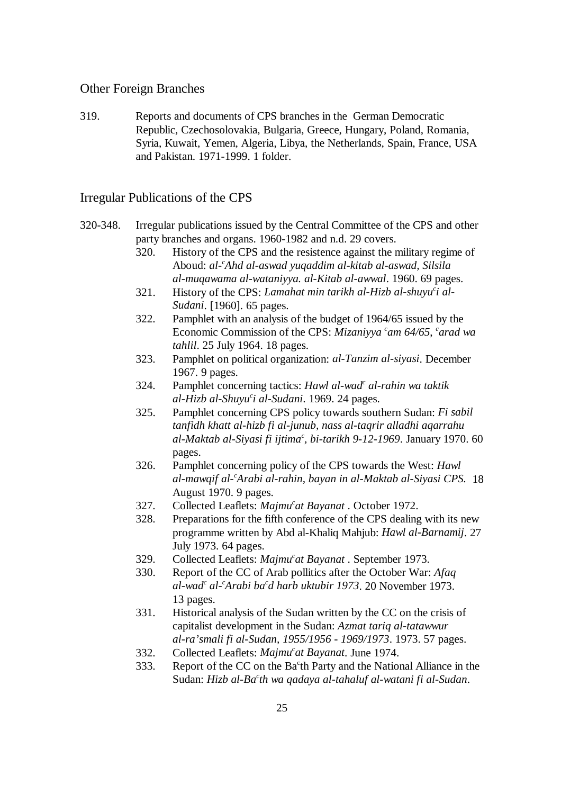# Other Foreign Branches

319. Reports and documents of CPS branches in the German Democratic Republic, Czechosolovakia, Bulgaria, Greece, Hungary, Poland, Romania, Syria, Kuwait, Yemen, Algeria, Libya, the Netherlands, Spain, France, USA and Pakistan. 1971-1999. 1 folder.

#### Irregular Publications of the CPS

- 320-348. Irregular publications issued by the Central Committee of the CPS and other party branches and organs. 1960-1982 and n.d. 29 covers.
	- 320. History of the CPS and the resistence against the military regime of Aboud: *al- Ahd al-aswad yuqaddim al-kitab al-aswad, Silsila <sup>c</sup> al-muqawama al-wataniyya. al-Kitab al-awwal*. 1960. 69 pages.
	- 321. History of the CPS: *Lamahat min tarikh al-Hizb al-shuyu i al- <sup>c</sup> Sudani*. [1960]. 65 pages.
	- 322. Pamphlet with an analysis of the budget of 1964/65 issued by the Economic Commission of the CPS: *Mizaniyya* <sup>*c*</sup> am 64/65, <sup>*c*</sup> arad wa *tahlil*. 25 July 1964. 18 pages.
	- 323. Pamphlet on political organization: *al-Tanzim al-siyasi*. December 1967. 9 pages.
	- 324. Pamphlet concerning tactics: *Hawl al-wad<sup>c</sup> al-rahin wa taktik al-Hizb al-Shuyu i al-Sudani*. 1969. 24 pages. *<sup>c</sup>*
	- 325. Pamphlet concerning CPS policy towards southern Sudan: *Fi sabil tanfidh khatt al-hizb fi al-junub, nass al-taqrir alladhi aqarrahu al-Maktab al-Siyasi fi ijtima , bi-tarikh 9-12-1969*. January 1970. 60 *<sup>c</sup>* pages.
	- 326. Pamphlet concerning policy of the CPS towards the West: *Hawl al-mawqif al- Arabi al-rahin, bayan in al-Maktab al-Siyasi CPS.* 18 *<sup>c</sup>* August 1970. 9 pages.
	- 327. Collected Leaflets: *Majmu<sup>c</sup>at Bayanat* . October 1972.
	- 328. Preparations for the fifth conference of the CPS dealing with its new programme written by Abd al-Khaliq Mahjub: *Hawl al-Barnamij*. 27 July 1973. 64 pages.
	- 329. Collected Leaflets: *Majmu<sup>c</sup>at Bayanat* . September 1973.
	- 330. Report of the CC of Arab pollitics after the October War: *Afaq al-wad al- Arabi ba d harb uktubir 1973*. 20 November 1973. *cc c* 13 pages.
	- 331. Historical analysis of the Sudan written by the CC on the crisis of capitalist development in the Sudan: *Azmat tariq al-tatawwur al-ra'smali fi al-Sudan, 1955/1956 - 1969/1973*. 1973. 57 pages.
	- 332. Collected Leaflets: *Majmu<sup>c</sup>at Bayanat*. June 1974.
	- 333. Report of the CC on the Ba<sup> $c$ </sup>th Party and the National Alliance in the Sudan: *Hizb al-Ba<sup>c</sup>th wa qadaya al-tahaluf al-watani fi al-Sudan.*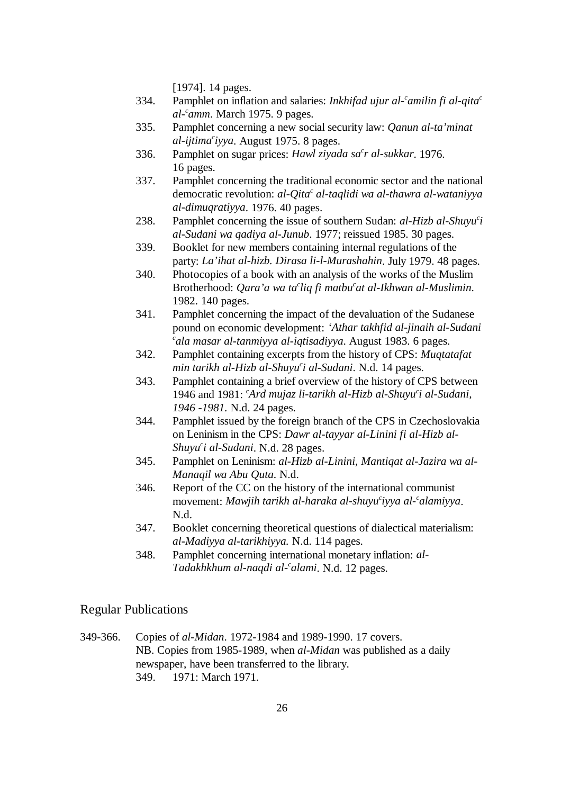[1974]. 14 pages.

- 334. Pamphlet on inflation and salaries: *Inkhifad ujur al-<sup>c</sup>amilin fi al-qita<sup>c</sup> al- amm*. March 1975. 9 pages. *<sup>c</sup>*
- 335. Pamphlet concerning a new social security law: *Qanun al-ta'minat al-ijtima iyya*. August 1975. 8 pages. *<sup>c</sup>*
- 336. Pamphlet on sugar prices: *Hawl ziyada sa<sup>c</sup>r al-sukkar*. 1976. 16 pages.
- 337. Pamphlet concerning the traditional economic sector and the national democratic revolution: *al-Qita<sup>c</sup>* al-taqlidi wa al-thawra al-wataniyya *al-dimuqratiyya*. 1976. 40 pages.
- 238. Pamphlet concerning the issue of southern Sudan: *al-Hizb al-Shuyu<sup>c</sup>i al-Sudani wa qadiya al-Junub*. 1977; reissued 1985. 30 pages.
- 339. Booklet for new members containing internal regulations of the party: *La'ihat al-hizb. Dirasa li-l-Murashahin*. July 1979. 48 pages.
- 340. Photocopies of a book with an analysis of the works of the Muslim Brotherhood: *Qara'a wa ta*<sup>c</sup>liq fi matbu<sup>c</sup>at al-Ikhwan al-Muslimin. 1982. 140 pages.
- 341. Pamphlet concerning the impact of the devaluation of the Sudanese pound on economic development: *'Athar takhfid al-jinaih al-Sudani ala masar al-tanmiyya al-iqtisadiyya*. August 1983. 6 pages. *<sup>c</sup>*
- 342. Pamphlet containing excerpts from the history of CPS: *Muqtatafat min tarikh al-Hizb al-Shuyu'i al-Sudani*. N.d. 14 pages.
- 343. Pamphlet containing a brief overview of the history of CPS between 1946 and 1981: *Ard mujaz li-tarikh al-Hizb al-Shuyu i al-Sudani,* <sup>c</sup> *<sup>c</sup> 1946 -1981.* N.d. 24 pages.
- 344. Pamphlet issued by the foreign branch of the CPS in Czechoslovakia on Leninism in the CPS: *Dawr al-tayyar al-Linini fi al-Hizb al-Shuyu<sup>c</sup>i al-Sudani*. N.d. 28 pages.
- 345. Pamphlet on Leninism: *al-Hizb al-Linini, Mantiqat al-Jazira wa al-Manaqil wa Abu Quta*. N.d.
- 346. Report of the CC on the history of the international communist movement: *Mawjih tarikh al-haraka al-shuyu<sup>c</sup>iyya al-calamiyya*. N.d.
- 347. Booklet concerning theoretical questions of dialectical materialism: *al-Madiyya al-tarikhiyya.* N.d. 114 pages.
- 348. Pamphlet concerning international monetary inflation: *al-Tadakhkhum al-naqdi al- alami*. N.d. 12 pages. *<sup>c</sup>*

# Regular Publications

349-366. Copies of *al-Midan*. 1972-1984 and 1989-1990. 17 covers. NB. Copies from 1985-1989, when *al-Midan* was published as a daily newspaper, have been transferred to the library. 349. 1971: March 1971.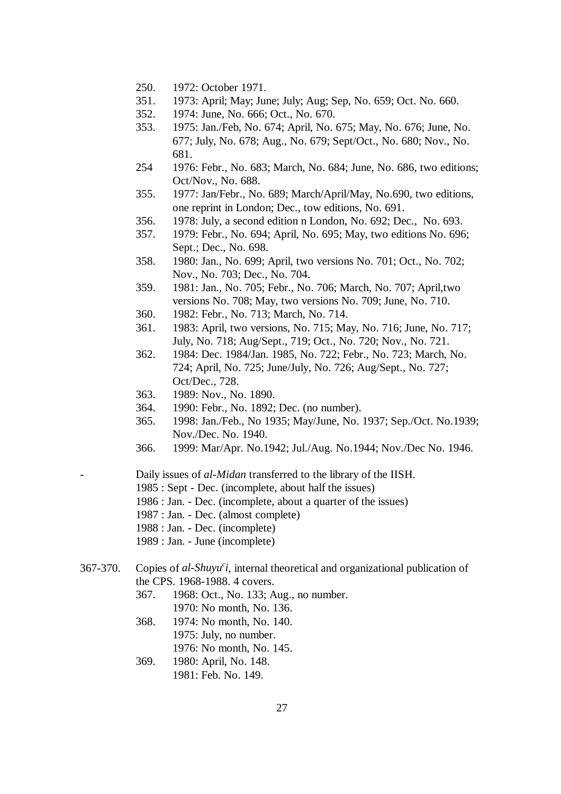- 250. 1972: October 1971.
- 351. 1973: April; May; June; July; Aug; Sep, No. 659; Oct. No. 660.
- 352. 1974: June, No. 666; Oct., No. 670.
- 353. 1975: Jan./Feb, No. 674; April, No. 675; May, No. 676; June, No. 677; July, No. 678; Aug., No. 679; Sept/Oct., No. 680; Nov., No. 681.
- 254 1976: Febr., No. 683; March, No. 684; June, No. 686, two editions; Oct/Nov., No. 688.
- 355. 1977: Jan/Febr., No. 689; March/April/May, No.690, two editions, one reprint in London; Dec., tow editions, No. 691.
- 356. 1978: July, a second edition n London, No. 692; Dec., No. 693.
- 357. 1979: Febr., No. 694; April, No. 695; May, two editions No. 696; Sept.; Dec., No. 698.
- 358. 1980: Jan., No. 699; April, two versions No. 701; Oct., No. 702; Nov., No. 703; Dec., No. 704.
- 359. 1981: Jan., No. 705; Febr., No. 706; March, No. 707; April,two versions No. 708; May, two versions No. 709; June, No. 710.
- 360. 1982: Febr., No. 713; March, No. 714.
- 361. 1983: April, two versions, No. 715; May, No. 716; June, No. 717; July, No. 718; Aug/Sept., 719; Oct., No. 720; Nov., No. 721.
- 362. 1984: Dec. 1984/Jan. 1985, No. 722; Febr., No. 723; March, No. 724; April, No. 725; June/July, No. 726; Aug/Sept., No. 727; Oct/Dec., 728.
- 363. 1989: Nov., No. 1890.
- 364. 1990: Febr., No. 1892; Dec. (no number).
- 365. 1998: Jan./Feb., No 1935; May/June, No. 1937; Sep./Oct. No.1939; Nov./Dec. No. 1940.
- 366. 1999: Mar/Apr. No.1942; Jul./Aug. No.1944; Nov./Dec No. 1946.

- Daily issues of *al-Midan* transferred to the library of the IISH.

- 1985 : Sept Dec. (incomplete, about half the issues)
- 1986 : Jan. Dec. (incomplete, about a quarter of the issues)
- 1987 : Jan. Dec. (almost complete)
- 1988 : Jan. Dec. (incomplete)
- 1989 : Jan. June (incomplete)
- 367-370. Copies of *al-Shuyu i*, internal theoretical and organizational publication of *<sup>c</sup>* the CPS. 1968-1988. 4 covers.
	- 367. 1968: Oct., No. 133; Aug., no number. 1970: No month, No. 136.
	- 368. 1974: No month, No. 140. 1975: July, no number.
		- 1976: No month, No. 145.
	- 369. 1980: April, No. 148. 1981: Feb. No. 149.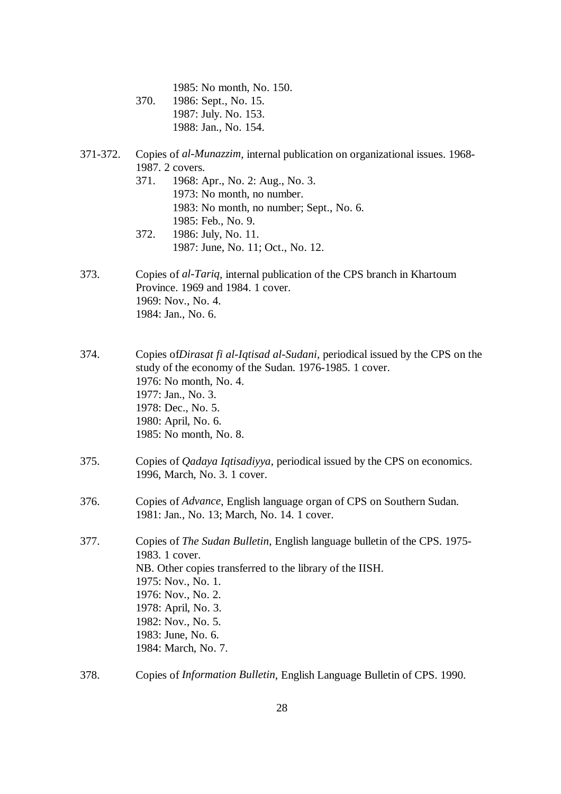1985: No month, No. 150. 370. 1986: Sept., No. 15. 1987: July. No. 153. 1988: Jan., No. 154.

## 371-372. Copies of *al-Munazzim*, internal publication on organizational issues. 1968- 1987. 2 covers.

- 371. 1968: Apr., No. 2: Aug., No. 3. 1973: No month, no number. 1983: No month, no number; Sept., No. 6. 1985: Feb., No. 9. 372. 1986: July, No. 11.
- 1987: June, No. 11; Oct., No. 12.
- 373. Copies of *al-Tariq*, internal publication of the CPS branch in Khartoum Province. 1969 and 1984. 1 cover. 1969: Nov., No. 4. 1984: Jan., No. 6.
- 374. Copies of*Dirasat fi al-Iqtisad al-Sudani*, periodical issued by the CPS on the study of the economy of the Sudan. 1976-1985. 1 cover. 1976: No month, No. 4. 1977: Jan., No. 3. 1978: Dec., No. 5. 1980: April, No. 6. 1985: No month, No. 8.
- 375. Copies of *Qadaya Iqtisadiyya*, periodical issued by the CPS on economics. 1996, March, No. 3. 1 cover.
- 376. Copies of *Advance*, English language organ of CPS on Southern Sudan. 1981: Jan., No. 13; March, No. 14. 1 cover.
- 377. Copies of *The Sudan Bulletin*, English language bulletin of the CPS. 1975- 1983. 1 cover. NB. Other copies transferred to the library of the IISH. 1975: Nov., No. 1. 1976: Nov., No. 2. 1978: April, No. 3. 1982: Nov., No. 5. 1983: June, No. 6. 1984: March, No. 7.
- 378. Copies of *Information Bulletin*, English Language Bulletin of CPS. 1990.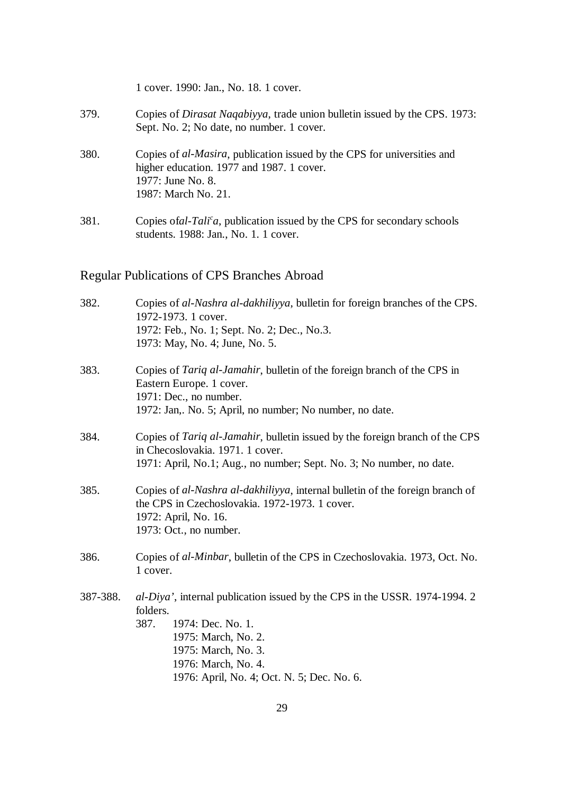|      | 1 cover. 1990: Jan., No. 18. 1 cover.                                                                                                                                    |
|------|--------------------------------------------------------------------------------------------------------------------------------------------------------------------------|
| 379. | Copies of <i>Dirasat Naqabiyya</i> , trade union bulletin issued by the CPS. 1973:<br>Sept. No. 2; No date, no number. 1 cover.                                          |
| 380. | Copies of <i>al-Masira</i> , publication issued by the CPS for universities and<br>higher education. 1977 and 1987. 1 cover.<br>1977: June No. 8.<br>1987: March No. 21. |
| 381. | Copies of al-Tali <sup>c</sup> a, publication issued by the CPS for secondary schools<br>students. 1988: Jan., No. 1. 1 cover.                                           |

# Regular Publications of CPS Branches Abroad

| 382.     | Copies of al-Nashra al-dakhiliyya, bulletin for foreign branches of the CPS.<br>1972-1973. 1 cover.<br>1972: Feb., No. 1; Sept. No. 2; Dec., No.3.<br>1973: May, No. 4; June, No. 5.                                                   |
|----------|----------------------------------------------------------------------------------------------------------------------------------------------------------------------------------------------------------------------------------------|
| 383.     | Copies of Tariq al-Jamahir, bulletin of the foreign branch of the CPS in<br>Eastern Europe. 1 cover.<br>1971: Dec., no number.<br>1972: Jan,. No. 5; April, no number; No number, no date.                                             |
| 384.     | Copies of <i>Tariq al-Jamahir</i> , bulletin issued by the foreign branch of the CPS<br>in Checoslovakia. 1971. 1 cover.<br>1971: April, No.1; Aug., no number; Sept. No. 3; No number, no date.                                       |
| 385.     | Copies of al-Nashra al-dakhiliyya, internal bulletin of the foreign branch of<br>the CPS in Czechoslovakia. 1972-1973. 1 cover.<br>1972: April, No. 16.<br>1973: Oct., no number.                                                      |
| 386.     | Copies of al-Minbar, bulletin of the CPS in Czechoslovakia. 1973, Oct. No.<br>1 cover.                                                                                                                                                 |
| 387-388. | al-Diya', internal publication issued by the CPS in the USSR. 1974-1994. 2<br>folders.<br>387.<br>1974: Dec. No. 1.<br>1975: March, No. 2.<br>1975: March, No. 3.<br>1976: March, No. 4.<br>1976: April, No. 4; Oct. N. 5; Dec. No. 6. |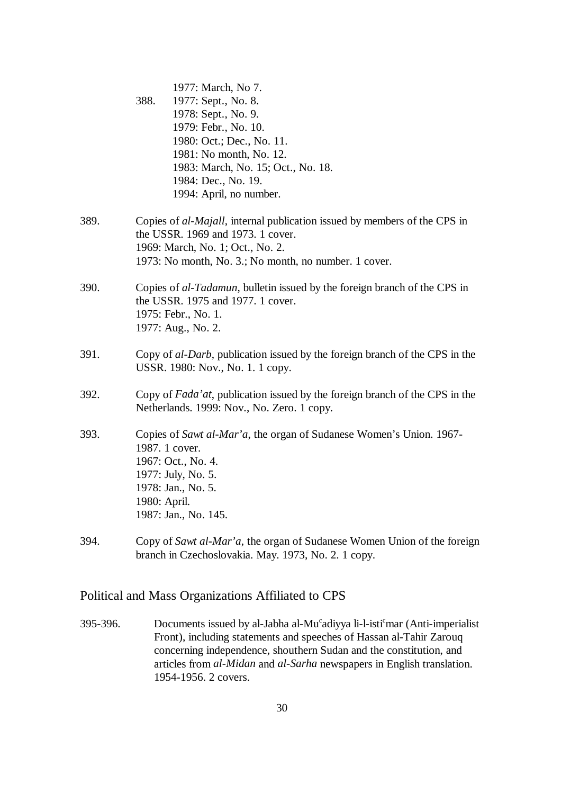|      | 1977: March, No 7.                                                                                                                                                                              |
|------|-------------------------------------------------------------------------------------------------------------------------------------------------------------------------------------------------|
|      | 388.<br>1977: Sept., No. 8.                                                                                                                                                                     |
|      | 1978: Sept., No. 9.                                                                                                                                                                             |
|      | 1979: Febr., No. 10.                                                                                                                                                                            |
|      | 1980: Oct.; Dec., No. 11.                                                                                                                                                                       |
|      | 1981: No month, No. 12.                                                                                                                                                                         |
|      | 1983: March, No. 15; Oct., No. 18.                                                                                                                                                              |
|      | 1984: Dec., No. 19.                                                                                                                                                                             |
|      | 1994: April, no number.                                                                                                                                                                         |
| 389. | Copies of <i>al-Majall</i> , internal publication issued by members of the CPS in<br>the USSR. 1969 and 1973. 1 cover.                                                                          |
|      | 1969: March, No. 1; Oct., No. 2.                                                                                                                                                                |
|      | 1973: No month, No. 3.; No month, no number. 1 cover.                                                                                                                                           |
| 390. | Copies of al-Tadamun, bulletin issued by the foreign branch of the CPS in<br>the USSR. 1975 and 1977. 1 cover.<br>1975: Febr., No. 1.<br>1977: Aug., No. 2.                                     |
| 391. | Copy of al-Darb, publication issued by the foreign branch of the CPS in the<br>USSR. 1980: Nov., No. 1. 1 copy.                                                                                 |
| 392. | Copy of <i>Fada'at</i> , publication issued by the foreign branch of the CPS in the<br>Netherlands. 1999: Nov., No. Zero. 1 copy.                                                               |
| 393. | Copies of Sawt al-Mar'a, the organ of Sudanese Women's Union. 1967-<br>1987. 1 cover.<br>1967: Oct., No. 4.<br>1977: July, No. 5.<br>1978: Jan., No. 5.<br>1980: April.<br>1987: Jan., No. 145. |
| 394. | Copy of Sawt al-Mar'a, the organ of Sudanese Women Union of the foreign<br>branch in Czechoslovakia. May. 1973, No. 2. 1 copy.                                                                  |

# Political and Mass Organizations Affiliated to CPS

395-396. Documents issued by al-Jabha al-Mu $^{\circ}$ adiyya li-l-isti $^{\circ}$ mar (Anti-imperialist Front), including statements and speeches of Hassan al-Tahir Zarouq concerning independence, shouthern Sudan and the constitution, and articles from *al-Midan* and *al-Sarha* newspapers in English translation. 1954-1956. 2 covers.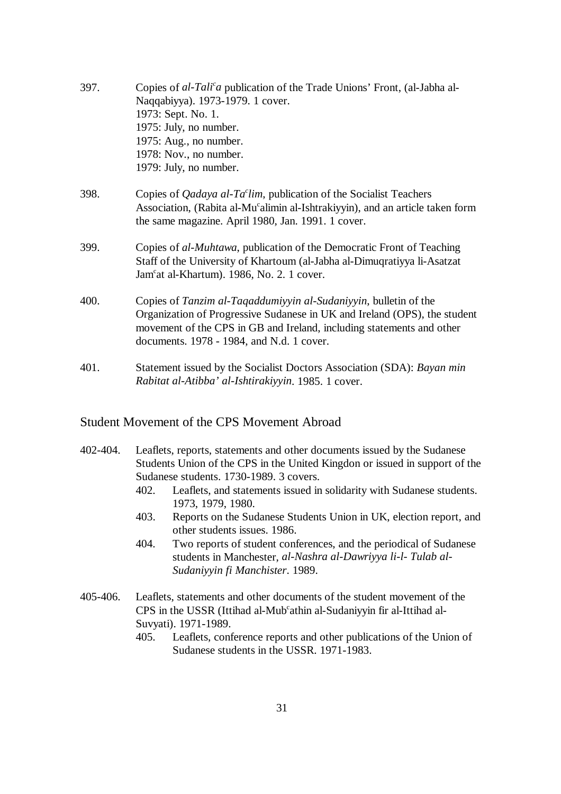| 397. | Copies of al-Tali <sup>c</sup> a publication of the Trade Unions' Front, (al-Jabha al-<br>Naqqabiyya). 1973-1979. 1 cover.                                                                                                                                          |
|------|---------------------------------------------------------------------------------------------------------------------------------------------------------------------------------------------------------------------------------------------------------------------|
|      | 1973: Sept. No. 1.                                                                                                                                                                                                                                                  |
|      | 1975: July, no number.                                                                                                                                                                                                                                              |
|      | 1975: Aug., no number.                                                                                                                                                                                                                                              |
|      | 1978: Nov., no number.                                                                                                                                                                                                                                              |
|      | 1979: July, no number.                                                                                                                                                                                                                                              |
| 398. | Copies of <i>Qadaya al-Ta<sup>c</sup>lim</i> , publication of the Socialist Teachers<br>Association, (Rabita al-Mu <sup>c</sup> alimin al-Ishtrakiyyin), and an article taken form<br>the same magazine. April 1980, Jan. 1991. 1 cover.                            |
| 399. | Copies of al-Muhtawa, publication of the Democratic Front of Teaching<br>Staff of the University of Khartoum (al-Jabha al-Dimuqratiyya li-Asatzat<br>Jam <sup>c</sup> at al-Khartum). 1986, No. 2. 1 cover.                                                         |
| 400. | Copies of Tanzim al-Taqaddumiyyin al-Sudaniyyin, bulletin of the<br>Organization of Progressive Sudanese in UK and Ireland (OPS), the student<br>movement of the CPS in GB and Ireland, including statements and other<br>documents. 1978 - 1984, and N.d. 1 cover. |
| 401. | Statement issued by the Socialist Doctors Association (SDA): Bayan min<br>Rabitat al-Atibba' al-Ishtirakiyyin. 1985. 1 cover.                                                                                                                                       |

#### Student Movement of the CPS Movement Abroad

- 402-404. Leaflets, reports, statements and other documents issued by the Sudanese Students Union of the CPS in the United Kingdon or issued in support of the Sudanese students. 1730-1989. 3 covers.
	- 402. Leaflets, and statements issued in solidarity with Sudanese students. 1973, 1979, 1980.
	- 403. Reports on the Sudanese Students Union in UK, election report, and other students issues. 1986.
	- 404. Two reports of student conferences, and the periodical of Sudanese students in Manchester, *al-Nashra al-Dawriyya li-l- Tulab al-Sudaniyyin fi Manchister*. 1989.
- 405-406. Leaflets, statements and other documents of the student movement of the CPS in the USSR (Ittihad al-Mub<sup>c</sup>athin al-Sudaniyyin fir al-Ittihad al-Suvyati). 1971-1989.
	- 405. Leaflets, conference reports and other publications of the Union of Sudanese students in the USSR. 1971-1983.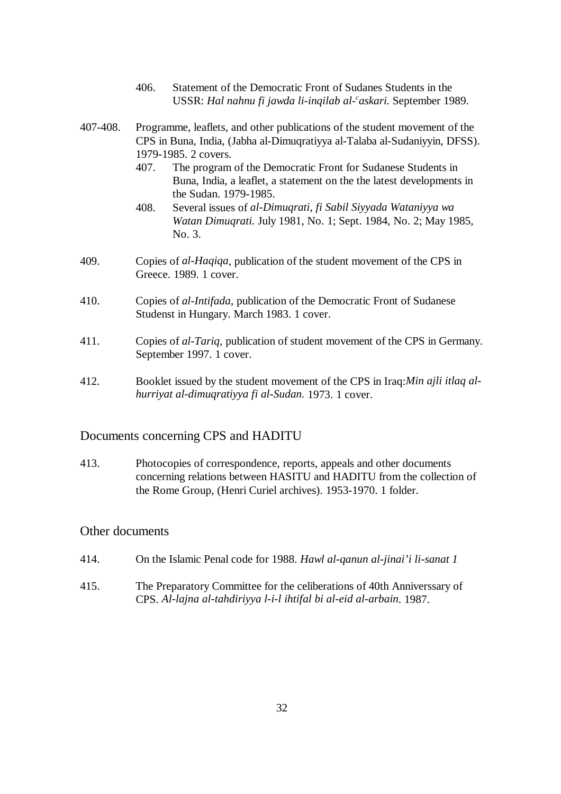- 406. Statement of the Democratic Front of Sudanes Students in the USSR: *Hal nahnu fi jawda li-inqilab al-'askari*. September 1989.
- 407-408. Programme, leaflets, and other publications of the student movement of the CPS in Buna, India, (Jabha al-Dimuqratiyya al-Talaba al-Sudaniyyin, DFSS). 1979-1985. 2 covers.
	- 407. The program of the Democratic Front for Sudanese Students in Buna, India, a leaflet, a statement on the the latest developments in the Sudan. 1979-1985.
	- 408. Several issues of *al-Dimuqrati, fi Sabil Siyyada Wataniyya wa Watan Dimuqrati.* July 1981, No. 1; Sept. 1984, No. 2; May 1985, No. 3.
- 409. Copies of *al-Haqiqa*, publication of the student movement of the CPS in Greece. 1989. 1 cover.
- 410. Copies of *al-Intifada*, publication of the Democratic Front of Sudanese Studenst in Hungary. March 1983. 1 cover.
- 411. Copies of *al-Tariq*, publication of student movement of the CPS in Germany. September 1997. 1 cover.
- 412. Booklet issued by the student movement of the CPS in Iraq:*Min ajli itlaq alhurriyat al-dimuqratiyya fi al-Sudan.* 1973. 1 cover.

### Documents concerning CPS and HADITU

413. Photocopies of correspondence, reports, appeals and other documents concerning relations between HASITU and HADITU from the collection of the Rome Group, (Henri Curiel archives). 1953-1970. 1 folder.

### Other documents

- 414. On the Islamic Penal code for 1988. *Hawl al-qanun al-jinai'i li-sanat 1*
- 415. The Preparatory Committee for the celiberations of 40th Anniverssary of CPS. *Al-lajna al-tahdiriyya l-i-l ihtifal bi al-eid al-arbain*. 1987.